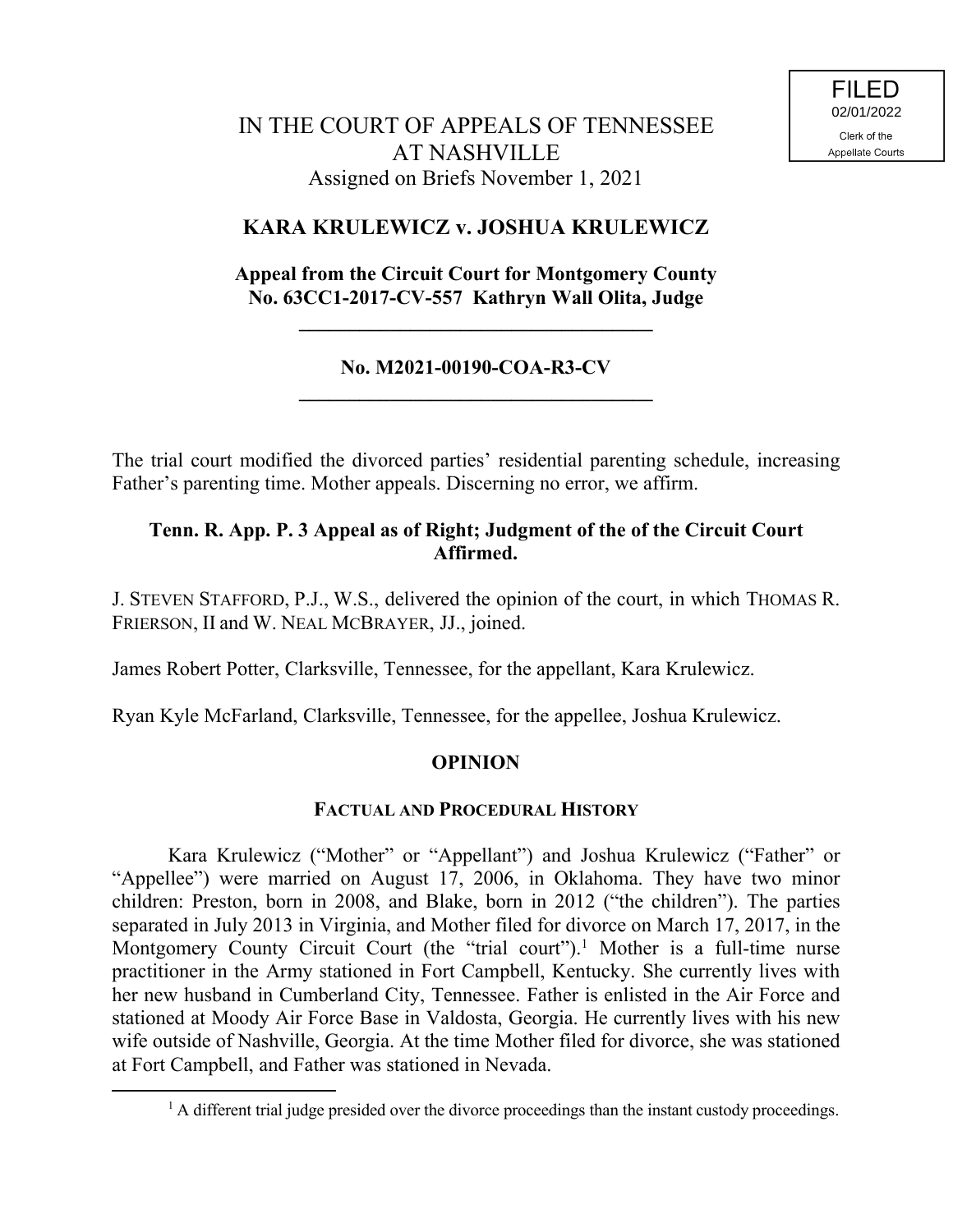# **KARA KRULEWICZ v. JOSHUA KRULEWICZ**

## **Appeal from the Circuit Court for Montgomery County No. 63CC1-2017-CV-557 Kathryn Wall Olita, Judge**

**\_\_\_\_\_\_\_\_\_\_\_\_\_\_\_\_\_\_\_\_\_\_\_\_\_\_\_\_\_\_\_\_\_\_\_**

### **No. M2021-00190-COA-R3-CV \_\_\_\_\_\_\_\_\_\_\_\_\_\_\_\_\_\_\_\_\_\_\_\_\_\_\_\_\_\_\_\_\_\_\_**

The trial court modified the divorced parties' residential parenting schedule, increasing Father's parenting time. Mother appeals. Discerning no error, we affirm.

### **Tenn. R. App. P. 3 Appeal as of Right; Judgment of the of the Circuit Court Affirmed.**

J. STEVEN STAFFORD, P.J., W.S., delivered the opinion of the court, in which THOMAS R. FRIERSON, II and W. NEAL MCBRAYER, JJ., joined.

James Robert Potter, Clarksville, Tennessee, for the appellant, Kara Krulewicz.

Ryan Kyle McFarland, Clarksville, Tennessee, for the appellee, Joshua Krulewicz.

## **OPINION**

## **FACTUAL AND PROCEDURAL HISTORY**

Kara Krulewicz ("Mother" or "Appellant") and Joshua Krulewicz ("Father" or "Appellee") were married on August 17, 2006, in Oklahoma. They have two minor children: Preston, born in 2008, and Blake, born in 2012 ("the children"). The parties separated in July 2013 in Virginia, and Mother filed for divorce on March 17, 2017, in the Montgomery County Circuit Court (the "trial court").<sup>1</sup> Mother is a full-time nurse practitioner in the Army stationed in Fort Campbell, Kentucky. She currently lives with her new husband in Cumberland City, Tennessee. Father is enlisted in the Air Force and stationed at Moody Air Force Base in Valdosta, Georgia. He currently lives with his new wife outside of Nashville, Georgia. At the time Mother filed for divorce, she was stationed at Fort Campbell, and Father was stationed in Nevada.

 $\overline{a}$ 

 $<sup>1</sup>$  A different trial judge presided over the divorce proceedings than the instant custody proceedings.</sup>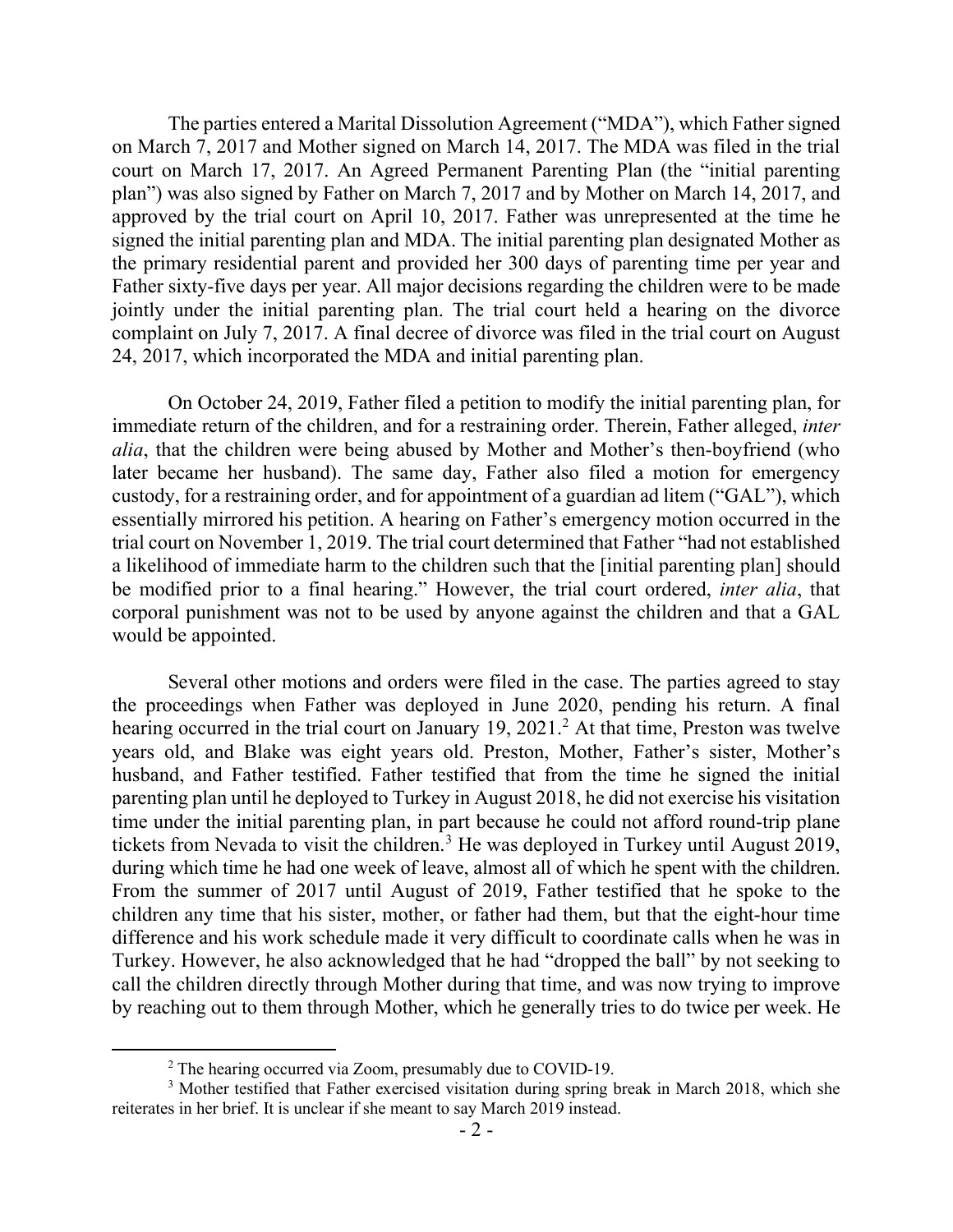The parties entered a Marital Dissolution Agreement ("MDA"), which Father signed on March 7, 2017 and Mother signed on March 14, 2017. The MDA was filed in the trial court on March 17, 2017. An Agreed Permanent Parenting Plan (the "initial parenting plan") was also signed by Father on March 7, 2017 and by Mother on March 14, 2017, and approved by the trial court on April 10, 2017. Father was unrepresented at the time he signed the initial parenting plan and MDA. The initial parenting plan designated Mother as the primary residential parent and provided her 300 days of parenting time per year and Father sixty-five days per year. All major decisions regarding the children were to be made jointly under the initial parenting plan. The trial court held a hearing on the divorce complaint on July 7, 2017. A final decree of divorce was filed in the trial court on August 24, 2017, which incorporated the MDA and initial parenting plan.

On October 24, 2019, Father filed a petition to modify the initial parenting plan, for immediate return of the children, and for a restraining order. Therein, Father alleged, *inter alia*, that the children were being abused by Mother and Mother's then-boyfriend (who later became her husband). The same day, Father also filed a motion for emergency custody, for a restraining order, and for appointment of a guardian ad litem ("GAL"), which essentially mirrored his petition. A hearing on Father's emergency motion occurred in the trial court on November 1, 2019. The trial court determined that Father "had not established a likelihood of immediate harm to the children such that the [initial parenting plan] should be modified prior to a final hearing." However, the trial court ordered, *inter alia*, that corporal punishment was not to be used by anyone against the children and that a GAL would be appointed.

Several other motions and orders were filed in the case. The parties agreed to stay the proceedings when Father was deployed in June 2020, pending his return. A final hearing occurred in the trial court on January 19, 2021.<sup>2</sup> At that time, Preston was twelve years old, and Blake was eight years old. Preston, Mother, Father's sister, Mother's husband, and Father testified. Father testified that from the time he signed the initial parenting plan until he deployed to Turkey in August 2018, he did not exercise his visitation time under the initial parenting plan, in part because he could not afford round-trip plane tickets from Nevada to visit the children.<sup>3</sup> He was deployed in Turkey until August 2019, during which time he had one week of leave, almost all of which he spent with the children. From the summer of 2017 until August of 2019, Father testified that he spoke to the children any time that his sister, mother, or father had them, but that the eight-hour time difference and his work schedule made it very difficult to coordinate calls when he was in Turkey. However, he also acknowledged that he had "dropped the ball" by not seeking to call the children directly through Mother during that time, and was now trying to improve by reaching out to them through Mother, which he generally tries to do twice per week. He

 $2$  The hearing occurred via Zoom, presumably due to COVID-19.

<sup>&</sup>lt;sup>3</sup> Mother testified that Father exercised visitation during spring break in March 2018, which she reiterates in her brief. It is unclear if she meant to say March 2019 instead.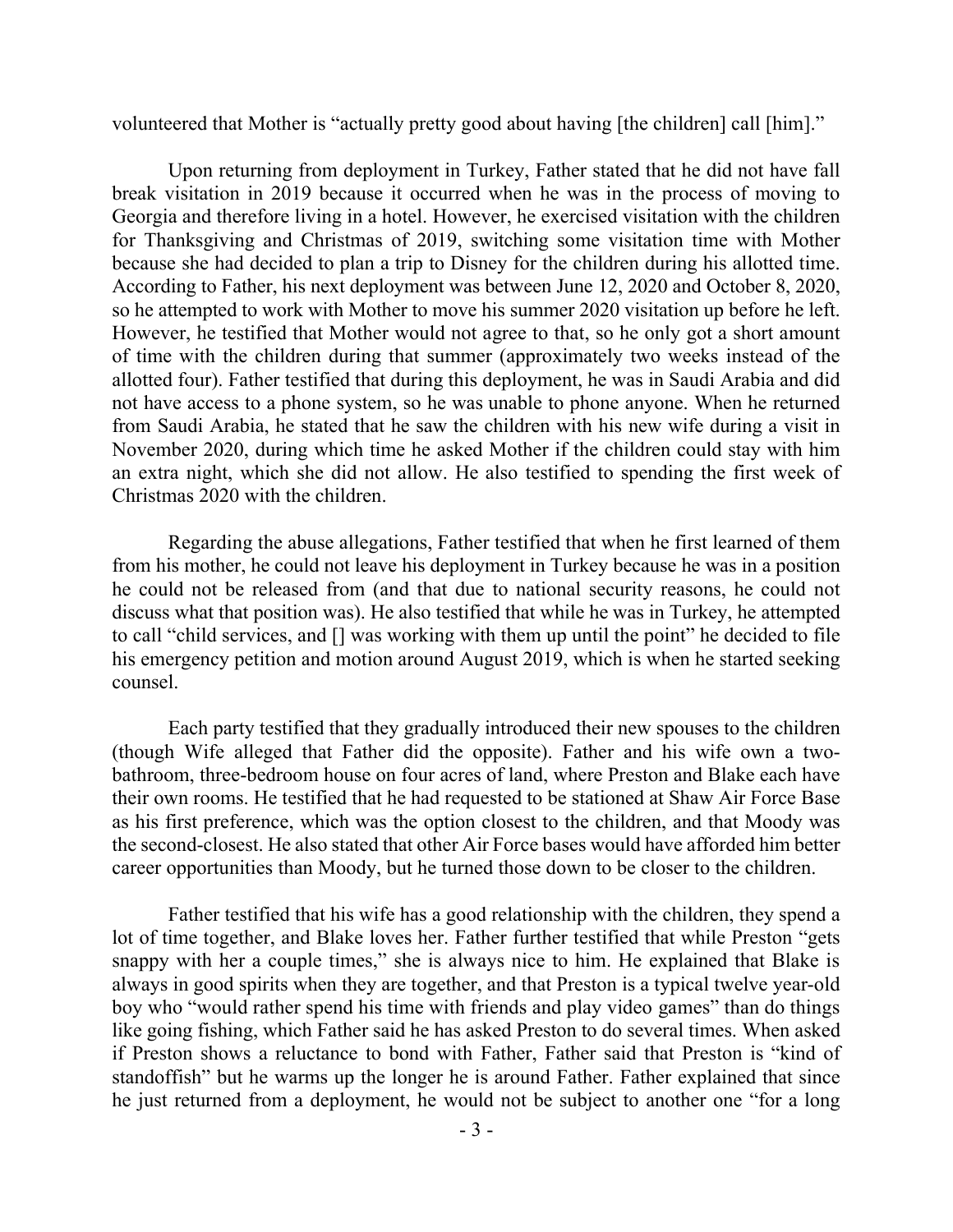volunteered that Mother is "actually pretty good about having [the children] call [him]."

Upon returning from deployment in Turkey, Father stated that he did not have fall break visitation in 2019 because it occurred when he was in the process of moving to Georgia and therefore living in a hotel. However, he exercised visitation with the children for Thanksgiving and Christmas of 2019, switching some visitation time with Mother because she had decided to plan a trip to Disney for the children during his allotted time. According to Father, his next deployment was between June 12, 2020 and October 8, 2020, so he attempted to work with Mother to move his summer 2020 visitation up before he left. However, he testified that Mother would not agree to that, so he only got a short amount of time with the children during that summer (approximately two weeks instead of the allotted four). Father testified that during this deployment, he was in Saudi Arabia and did not have access to a phone system, so he was unable to phone anyone. When he returned from Saudi Arabia, he stated that he saw the children with his new wife during a visit in November 2020, during which time he asked Mother if the children could stay with him an extra night, which she did not allow. He also testified to spending the first week of Christmas 2020 with the children.

Regarding the abuse allegations, Father testified that when he first learned of them from his mother, he could not leave his deployment in Turkey because he was in a position he could not be released from (and that due to national security reasons, he could not discuss what that position was). He also testified that while he was in Turkey, he attempted to call "child services, and [] was working with them up until the point" he decided to file his emergency petition and motion around August 2019, which is when he started seeking counsel.

Each party testified that they gradually introduced their new spouses to the children (though Wife alleged that Father did the opposite). Father and his wife own a twobathroom, three-bedroom house on four acres of land, where Preston and Blake each have their own rooms. He testified that he had requested to be stationed at Shaw Air Force Base as his first preference, which was the option closest to the children, and that Moody was the second-closest. He also stated that other Air Force bases would have afforded him better career opportunities than Moody, but he turned those down to be closer to the children.

Father testified that his wife has a good relationship with the children, they spend a lot of time together, and Blake loves her. Father further testified that while Preston "gets snappy with her a couple times," she is always nice to him. He explained that Blake is always in good spirits when they are together, and that Preston is a typical twelve year-old boy who "would rather spend his time with friends and play video games" than do things like going fishing, which Father said he has asked Preston to do several times. When asked if Preston shows a reluctance to bond with Father, Father said that Preston is "kind of standoffish" but he warms up the longer he is around Father. Father explained that since he just returned from a deployment, he would not be subject to another one "for a long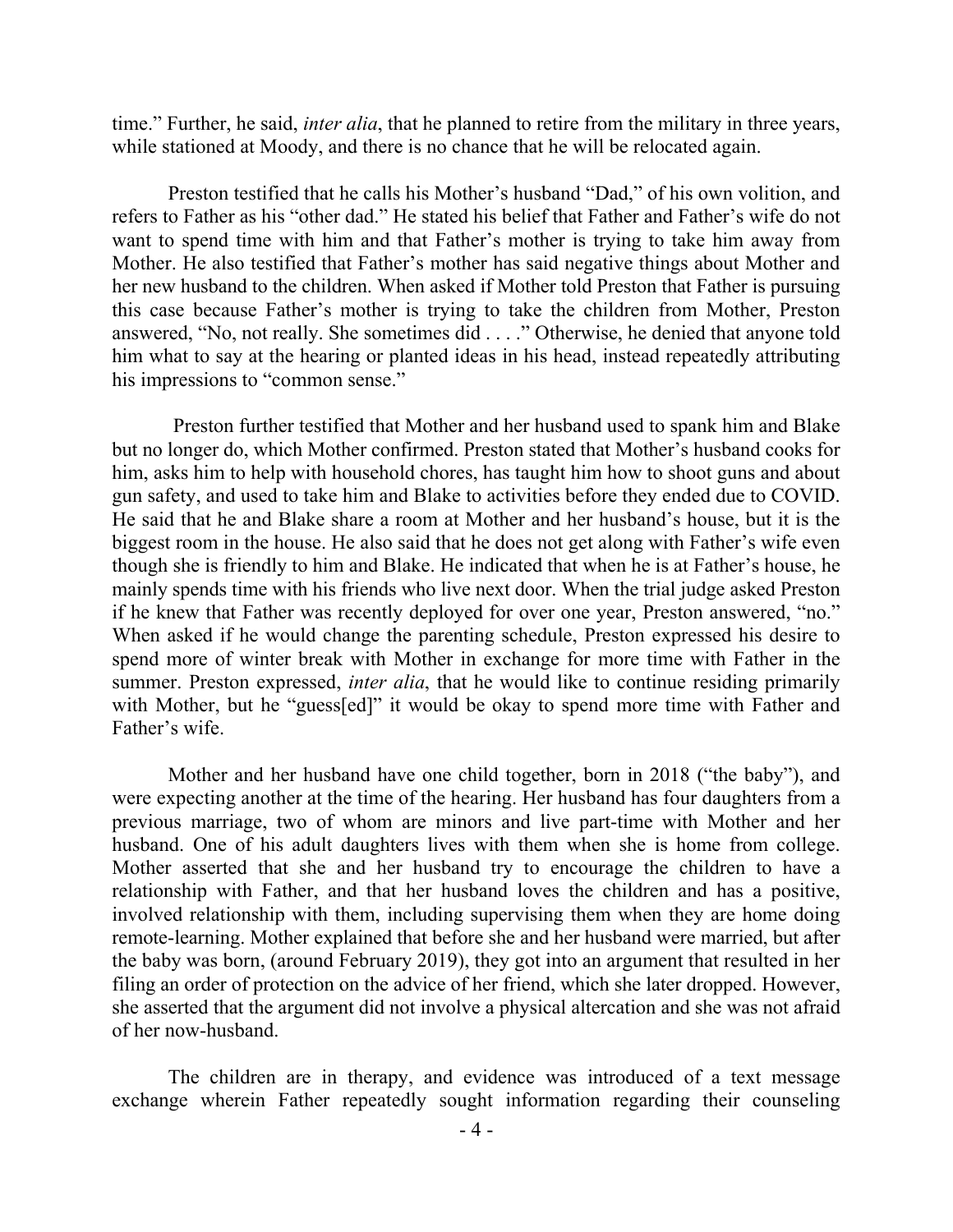time." Further, he said, *inter alia*, that he planned to retire from the military in three years, while stationed at Moody, and there is no chance that he will be relocated again.

Preston testified that he calls his Mother's husband "Dad," of his own volition, and refers to Father as his "other dad." He stated his belief that Father and Father's wife do not want to spend time with him and that Father's mother is trying to take him away from Mother. He also testified that Father's mother has said negative things about Mother and her new husband to the children. When asked if Mother told Preston that Father is pursuing this case because Father's mother is trying to take the children from Mother, Preston answered, "No, not really. She sometimes did . . . ." Otherwise, he denied that anyone told him what to say at the hearing or planted ideas in his head, instead repeatedly attributing his impressions to "common sense."

Preston further testified that Mother and her husband used to spank him and Blake but no longer do, which Mother confirmed. Preston stated that Mother's husband cooks for him, asks him to help with household chores, has taught him how to shoot guns and about gun safety, and used to take him and Blake to activities before they ended due to COVID. He said that he and Blake share a room at Mother and her husband's house, but it is the biggest room in the house. He also said that he does not get along with Father's wife even though she is friendly to him and Blake. He indicated that when he is at Father's house, he mainly spends time with his friends who live next door. When the trial judge asked Preston if he knew that Father was recently deployed for over one year, Preston answered, "no." When asked if he would change the parenting schedule, Preston expressed his desire to spend more of winter break with Mother in exchange for more time with Father in the summer. Preston expressed, *inter alia*, that he would like to continue residing primarily with Mother, but he "guess[ed]" it would be okay to spend more time with Father and Father's wife.

Mother and her husband have one child together, born in 2018 ("the baby"), and were expecting another at the time of the hearing. Her husband has four daughters from a previous marriage, two of whom are minors and live part-time with Mother and her husband. One of his adult daughters lives with them when she is home from college. Mother asserted that she and her husband try to encourage the children to have a relationship with Father, and that her husband loves the children and has a positive, involved relationship with them, including supervising them when they are home doing remote-learning. Mother explained that before she and her husband were married, but after the baby was born, (around February 2019), they got into an argument that resulted in her filing an order of protection on the advice of her friend, which she later dropped. However, she asserted that the argument did not involve a physical altercation and she was not afraid of her now-husband.

The children are in therapy, and evidence was introduced of a text message exchange wherein Father repeatedly sought information regarding their counseling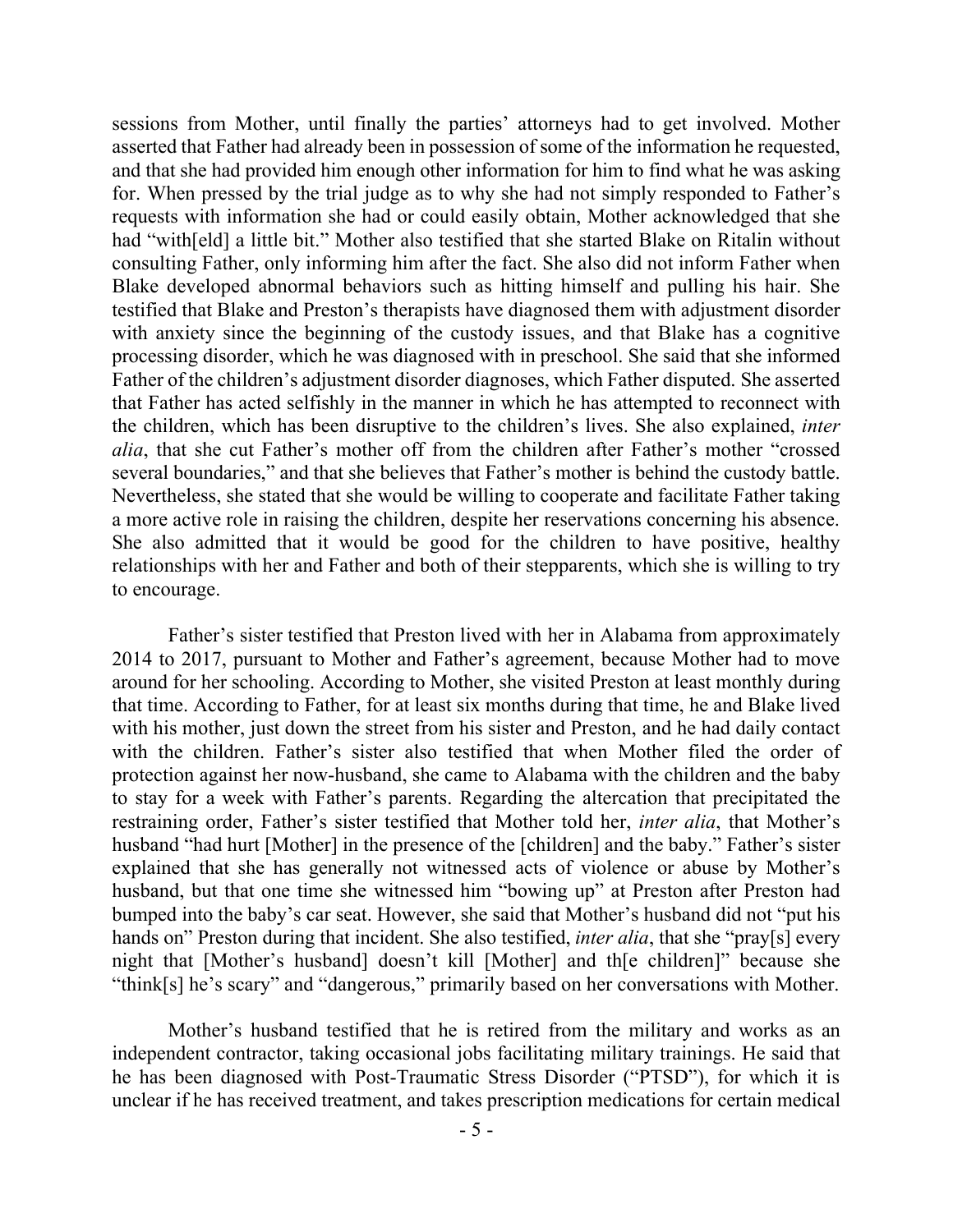sessions from Mother, until finally the parties' attorneys had to get involved. Mother asserted that Father had already been in possession of some of the information he requested, and that she had provided him enough other information for him to find what he was asking for. When pressed by the trial judge as to why she had not simply responded to Father's requests with information she had or could easily obtain, Mother acknowledged that she had "with[eld] a little bit." Mother also testified that she started Blake on Ritalin without consulting Father, only informing him after the fact. She also did not inform Father when Blake developed abnormal behaviors such as hitting himself and pulling his hair. She testified that Blake and Preston's therapists have diagnosed them with adjustment disorder with anxiety since the beginning of the custody issues, and that Blake has a cognitive processing disorder, which he was diagnosed with in preschool. She said that she informed Father of the children's adjustment disorder diagnoses, which Father disputed. She asserted that Father has acted selfishly in the manner in which he has attempted to reconnect with the children, which has been disruptive to the children's lives. She also explained, *inter alia*, that she cut Father's mother off from the children after Father's mother "crossed several boundaries," and that she believes that Father's mother is behind the custody battle. Nevertheless, she stated that she would be willing to cooperate and facilitate Father taking a more active role in raising the children, despite her reservations concerning his absence. She also admitted that it would be good for the children to have positive, healthy relationships with her and Father and both of their stepparents, which she is willing to try to encourage.

Father's sister testified that Preston lived with her in Alabama from approximately 2014 to 2017, pursuant to Mother and Father's agreement, because Mother had to move around for her schooling. According to Mother, she visited Preston at least monthly during that time. According to Father, for at least six months during that time, he and Blake lived with his mother, just down the street from his sister and Preston, and he had daily contact with the children. Father's sister also testified that when Mother filed the order of protection against her now-husband, she came to Alabama with the children and the baby to stay for a week with Father's parents. Regarding the altercation that precipitated the restraining order, Father's sister testified that Mother told her, *inter alia*, that Mother's husband "had hurt [Mother] in the presence of the [children] and the baby." Father's sister explained that she has generally not witnessed acts of violence or abuse by Mother's husband, but that one time she witnessed him "bowing up" at Preston after Preston had bumped into the baby's car seat. However, she said that Mother's husband did not "put his hands on" Preston during that incident. She also testified, *inter alia*, that she "pray[s] every night that [Mother's husband] doesn't kill [Mother] and th[e children]" because she "think[s] he's scary" and "dangerous," primarily based on her conversations with Mother.

Mother's husband testified that he is retired from the military and works as an independent contractor, taking occasional jobs facilitating military trainings. He said that he has been diagnosed with Post-Traumatic Stress Disorder ("PTSD"), for which it is unclear if he has received treatment, and takes prescription medications for certain medical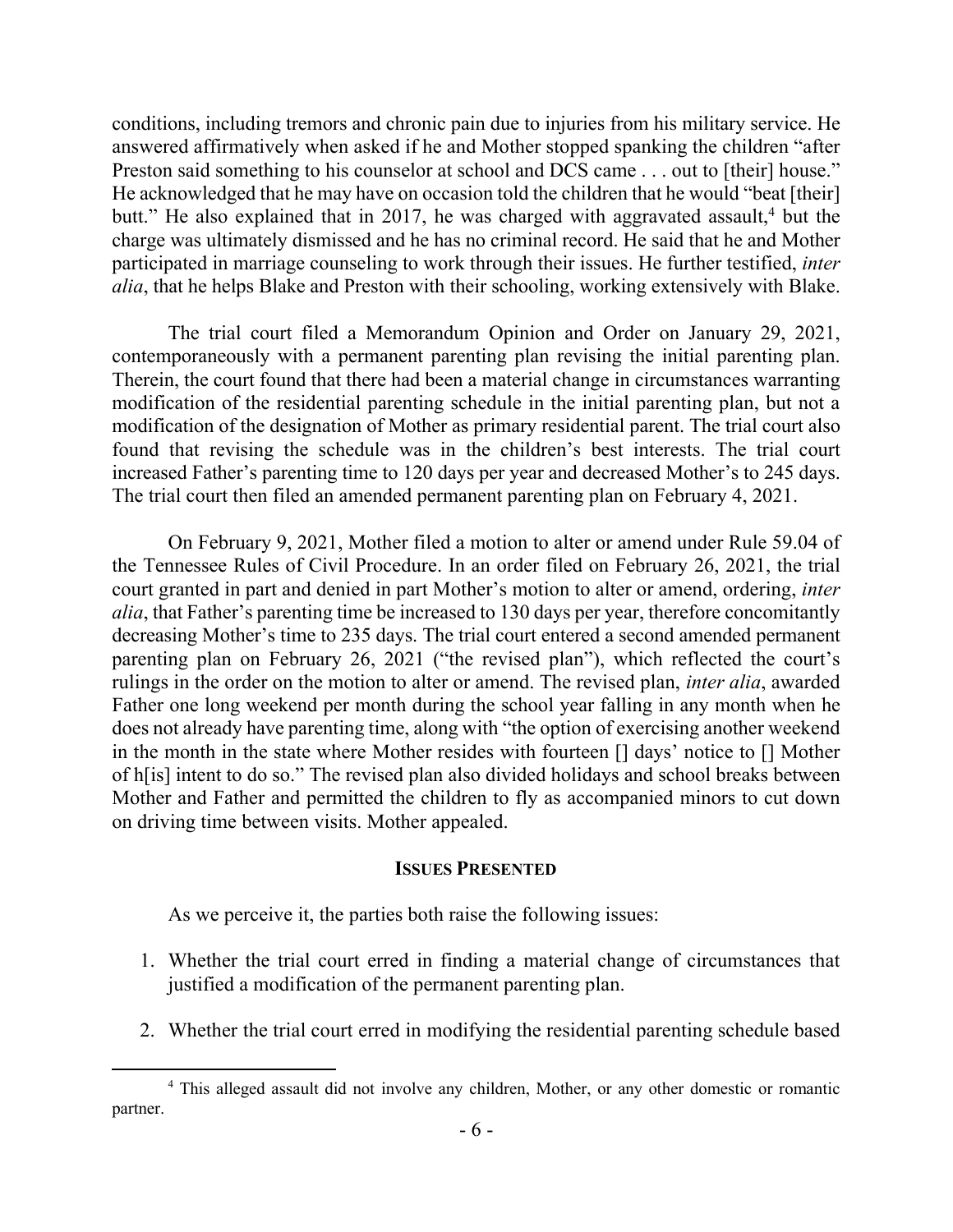conditions, including tremors and chronic pain due to injuries from his military service. He answered affirmatively when asked if he and Mother stopped spanking the children "after Preston said something to his counselor at school and DCS came . . . out to [their] house." He acknowledged that he may have on occasion told the children that he would "beat [their] butt." He also explained that in 2017, he was charged with aggravated assault,<sup>4</sup> but the charge was ultimately dismissed and he has no criminal record. He said that he and Mother participated in marriage counseling to work through their issues. He further testified, *inter alia*, that he helps Blake and Preston with their schooling, working extensively with Blake.

The trial court filed a Memorandum Opinion and Order on January 29, 2021, contemporaneously with a permanent parenting plan revising the initial parenting plan. Therein, the court found that there had been a material change in circumstances warranting modification of the residential parenting schedule in the initial parenting plan, but not a modification of the designation of Mother as primary residential parent. The trial court also found that revising the schedule was in the children's best interests. The trial court increased Father's parenting time to 120 days per year and decreased Mother's to 245 days. The trial court then filed an amended permanent parenting plan on February 4, 2021.

On February 9, 2021, Mother filed a motion to alter or amend under Rule 59.04 of the Tennessee Rules of Civil Procedure. In an order filed on February 26, 2021, the trial court granted in part and denied in part Mother's motion to alter or amend, ordering, *inter alia*, that Father's parenting time be increased to 130 days per year, therefore concomitantly decreasing Mother's time to 235 days. The trial court entered a second amended permanent parenting plan on February 26, 2021 ("the revised plan"), which reflected the court's rulings in the order on the motion to alter or amend. The revised plan, *inter alia*, awarded Father one long weekend per month during the school year falling in any month when he does not already have parenting time, along with "the option of exercising another weekend in the month in the state where Mother resides with fourteen [] days' notice to [] Mother of h[is] intent to do so." The revised plan also divided holidays and school breaks between Mother and Father and permitted the children to fly as accompanied minors to cut down on driving time between visits. Mother appealed.

#### **ISSUES PRESENTED**

As we perceive it, the parties both raise the following issues:

- 1. Whether the trial court erred in finding a material change of circumstances that justified a modification of the permanent parenting plan.
- 2. Whether the trial court erred in modifying the residential parenting schedule based

<sup>4</sup> This alleged assault did not involve any children, Mother, or any other domestic or romantic partner.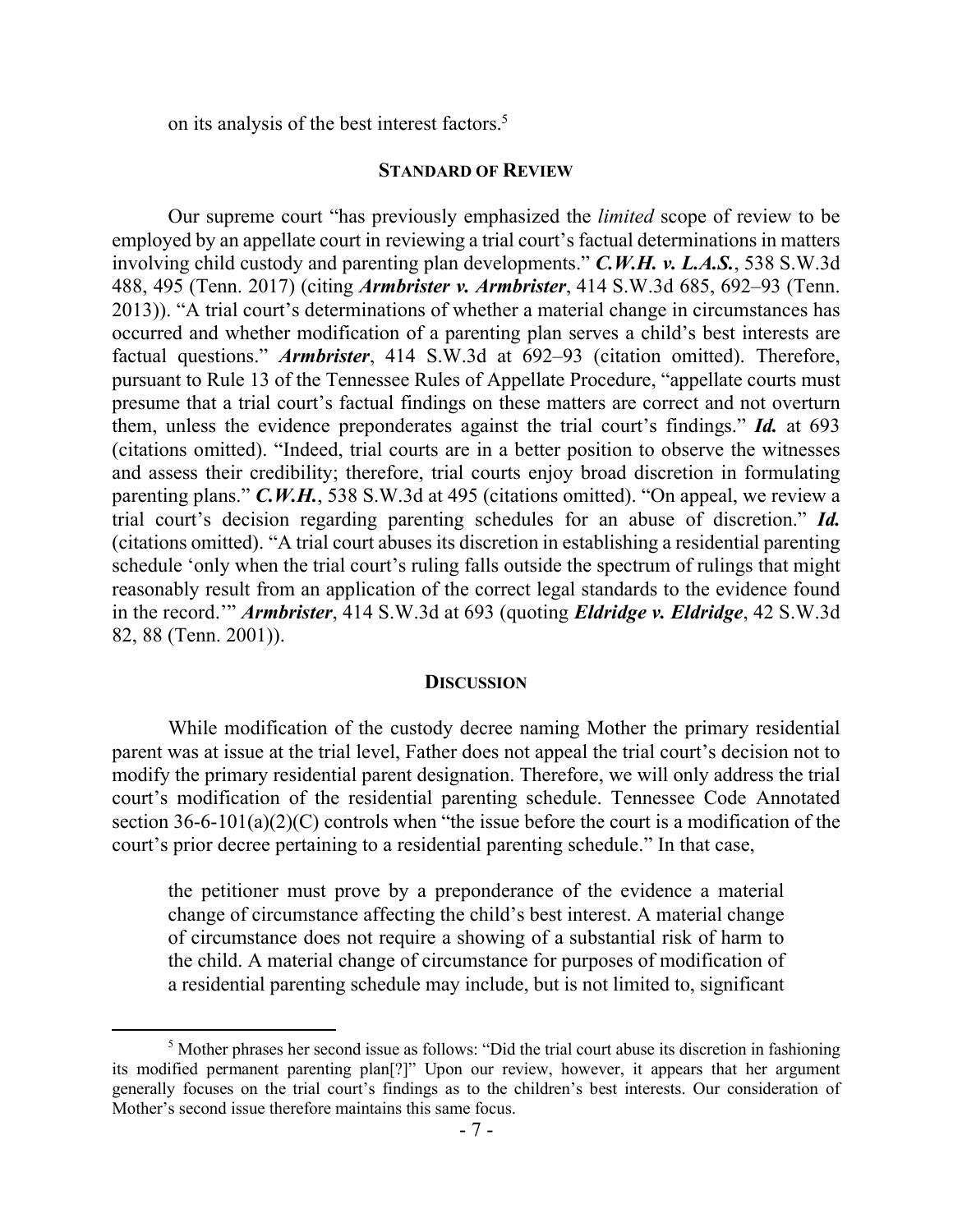on its analysis of the best interest factors. 5

#### **STANDARD OF REVIEW**

Our supreme court "has previously emphasized the *limited* scope of review to be employed by an appellate court in reviewing a trial court's factual determinations in matters involving child custody and parenting plan developments." *C.W.H. v. L.A.S.*, 538 S.W.3d 488, 495 (Tenn. 2017) (citing *Armbrister v. Armbrister*, 414 S.W.3d 685, 692–93 (Tenn. 2013)). "A trial court's determinations of whether a material change in circumstances has occurred and whether modification of a parenting plan serves a child's best interests are factual questions." *Armbrister*, 414 S.W.3d at 692–93 (citation omitted). Therefore, pursuant to Rule 13 of the Tennessee Rules of Appellate Procedure, "appellate courts must presume that a trial court's factual findings on these matters are correct and not overturn them, unless the evidence preponderates against the trial court's findings." *Id.* at 693 (citations omitted). "Indeed, trial courts are in a better position to observe the witnesses and assess their credibility; therefore, trial courts enjoy broad discretion in formulating parenting plans." *C.W.H.*, 538 S.W.3d at 495 (citations omitted). "On appeal, we review a trial court's decision regarding parenting schedules for an abuse of discretion." *Id.* (citations omitted). "A trial court abuses its discretion in establishing a residential parenting schedule 'only when the trial court's ruling falls outside the spectrum of rulings that might reasonably result from an application of the correct legal standards to the evidence found in the record.'" *Armbrister*, 414 S.W.3d at 693 (quoting *Eldridge v. Eldridge*, 42 S.W.3d 82, 88 (Tenn. 2001)).

#### **DISCUSSION**

While modification of the custody decree naming Mother the primary residential parent was at issue at the trial level, Father does not appeal the trial court's decision not to modify the primary residential parent designation. Therefore, we will only address the trial court's modification of the residential parenting schedule. Tennessee Code Annotated section  $36-6-101(a)(2)(C)$  controls when "the issue before the court is a modification of the court's prior decree pertaining to a residential parenting schedule." In that case,

the petitioner must prove by a preponderance of the evidence a material change of circumstance affecting the child's best interest. A material change of circumstance does not require a showing of a substantial risk of harm to the child. A material change of circumstance for purposes of modification of a residential parenting schedule may include, but is not limited to, significant

<sup>5</sup> Mother phrases her second issue as follows: "Did the trial court abuse its discretion in fashioning its modified permanent parenting plan[?]" Upon our review, however, it appears that her argument generally focuses on the trial court's findings as to the children's best interests. Our consideration of Mother's second issue therefore maintains this same focus.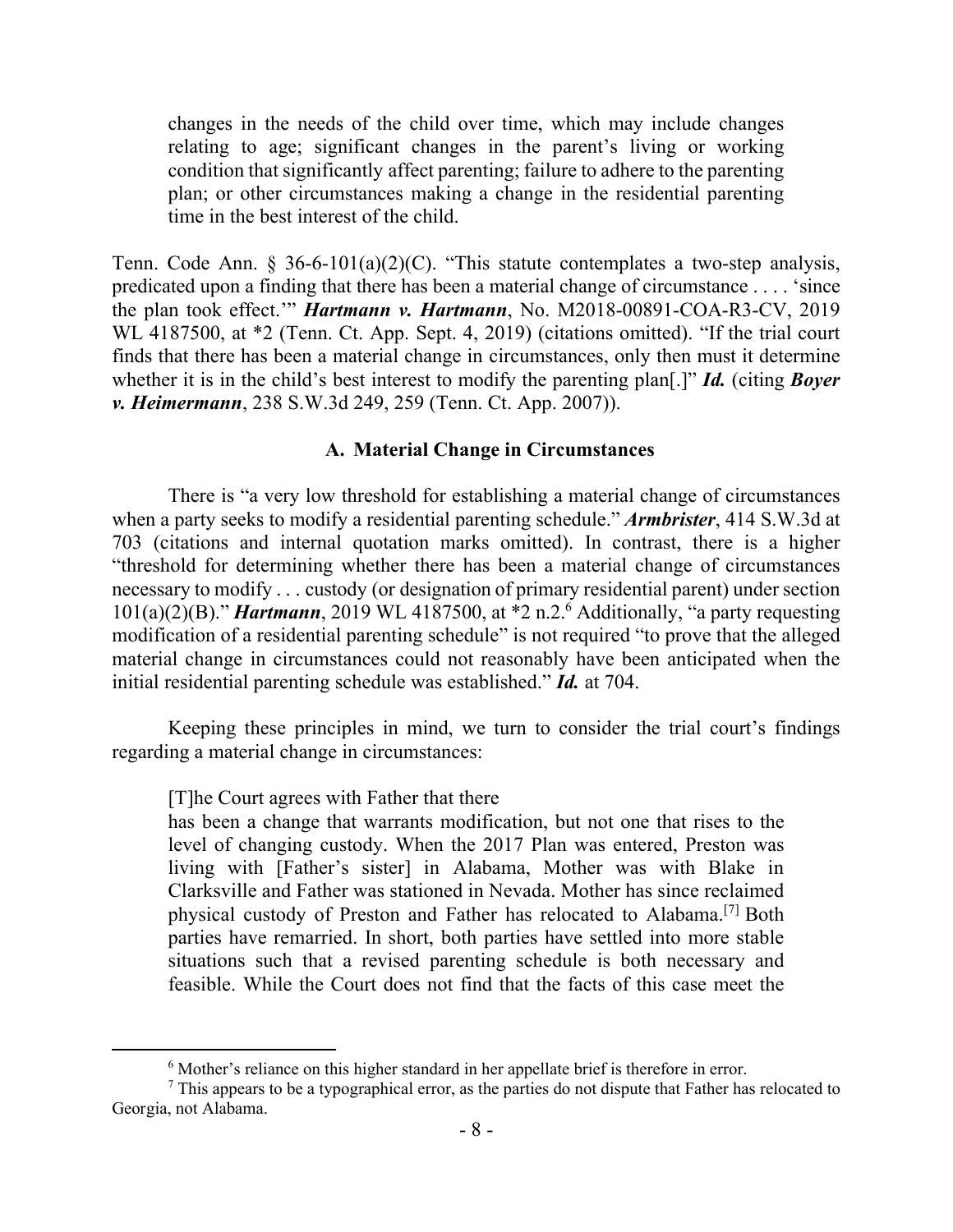changes in the needs of the child over time, which may include changes relating to age; significant changes in the parent's living or working condition that significantly affect parenting; failure to adhere to the parenting plan; or other circumstances making a change in the residential parenting time in the best interest of the child.

Tenn. Code Ann. § 36-6-101(a)(2)(C). "This statute contemplates a two-step analysis, predicated upon a finding that there has been a material change of circumstance . . . . 'since the plan took effect.'" *Hartmann v. Hartmann*, No. M2018-00891-COA-R3-CV, 2019 WL 4187500, at \*2 (Tenn. Ct. App. Sept. 4, 2019) (citations omitted). "If the trial court finds that there has been a material change in circumstances, only then must it determine whether it is in the child's best interest to modify the parenting plan[.]" *Id.* (citing *Boyer v. Heimermann*, 238 S.W.3d 249, 259 (Tenn. Ct. App. 2007)).

#### **A. Material Change in Circumstances**

There is "a very low threshold for establishing a material change of circumstances when a party seeks to modify a residential parenting schedule." *Armbrister*, 414 S.W.3d at 703 (citations and internal quotation marks omitted). In contrast, there is a higher "threshold for determining whether there has been a material change of circumstances necessary to modify . . . custody (or designation of primary residential parent) under section 101(a)(2)(B)." *Hartmann*, 2019 WL 4187500, at \*2 n.2.<sup>6</sup> Additionally, "a party requesting modification of a residential parenting schedule" is not required "to prove that the alleged material change in circumstances could not reasonably have been anticipated when the initial residential parenting schedule was established." *Id.* at 704.

Keeping these principles in mind, we turn to consider the trial court's findings regarding a material change in circumstances:

### [T]he Court agrees with Father that there

has been a change that warrants modification, but not one that rises to the level of changing custody. When the 2017 Plan was entered, Preston was living with [Father's sister] in Alabama, Mother was with Blake in Clarksville and Father was stationed in Nevada. Mother has since reclaimed physical custody of Preston and Father has relocated to Alabama.[7] Both parties have remarried. In short, both parties have settled into more stable situations such that a revised parenting schedule is both necessary and feasible. While the Court does not find that the facts of this case meet the

<sup>&</sup>lt;sup>6</sup> Mother's reliance on this higher standard in her appellate brief is therefore in error.

 $\frac{7}{1}$  This appears to be a typographical error, as the parties do not dispute that Father has relocated to Georgia, not Alabama.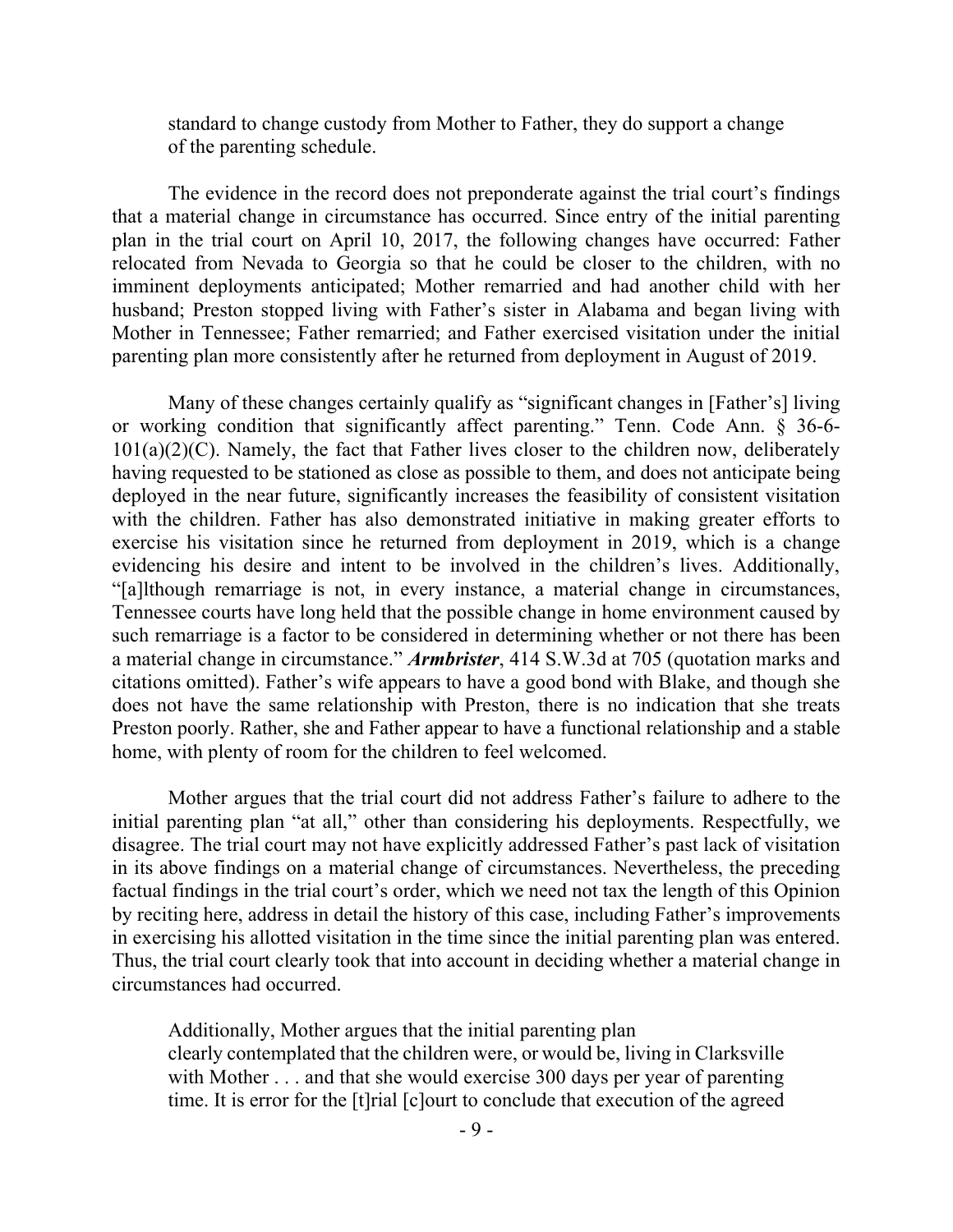standard to change custody from Mother to Father, they do support a change of the parenting schedule.

The evidence in the record does not preponderate against the trial court's findings that a material change in circumstance has occurred. Since entry of the initial parenting plan in the trial court on April 10, 2017, the following changes have occurred: Father relocated from Nevada to Georgia so that he could be closer to the children, with no imminent deployments anticipated; Mother remarried and had another child with her husband; Preston stopped living with Father's sister in Alabama and began living with Mother in Tennessee; Father remarried; and Father exercised visitation under the initial parenting plan more consistently after he returned from deployment in August of 2019.

Many of these changes certainly qualify as "significant changes in [Father's] living or working condition that significantly affect parenting." Tenn. Code Ann. § 36-6-  $101(a)(2)(C)$ . Namely, the fact that Father lives closer to the children now, deliberately having requested to be stationed as close as possible to them, and does not anticipate being deployed in the near future, significantly increases the feasibility of consistent visitation with the children. Father has also demonstrated initiative in making greater efforts to exercise his visitation since he returned from deployment in 2019, which is a change evidencing his desire and intent to be involved in the children's lives. Additionally, "[a]lthough remarriage is not, in every instance, a material change in circumstances, Tennessee courts have long held that the possible change in home environment caused by such remarriage is a factor to be considered in determining whether or not there has been a material change in circumstance." *Armbrister*, 414 S.W.3d at 705 (quotation marks and citations omitted). Father's wife appears to have a good bond with Blake, and though she does not have the same relationship with Preston, there is no indication that she treats Preston poorly. Rather, she and Father appear to have a functional relationship and a stable home, with plenty of room for the children to feel welcomed.

Mother argues that the trial court did not address Father's failure to adhere to the initial parenting plan "at all," other than considering his deployments. Respectfully, we disagree. The trial court may not have explicitly addressed Father's past lack of visitation in its above findings on a material change of circumstances. Nevertheless, the preceding factual findings in the trial court's order, which we need not tax the length of this Opinion by reciting here, address in detail the history of this case, including Father's improvements in exercising his allotted visitation in the time since the initial parenting plan was entered. Thus, the trial court clearly took that into account in deciding whether a material change in circumstances had occurred.

Additionally, Mother argues that the initial parenting plan clearly contemplated that the children were, or would be, living in Clarksville with Mother . . . and that she would exercise 300 days per year of parenting time. It is error for the [t]rial [c]ourt to conclude that execution of the agreed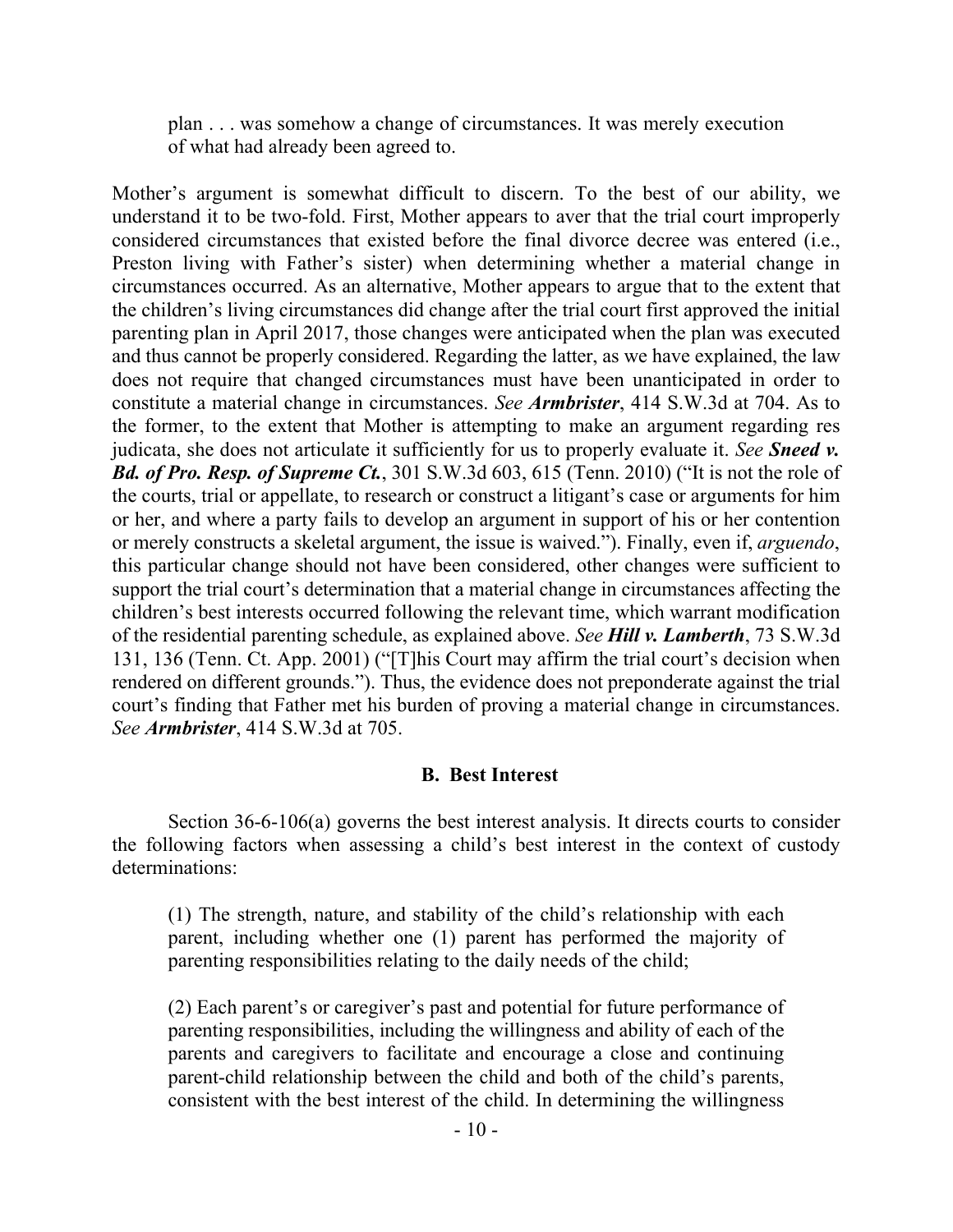plan . . . was somehow a change of circumstances. It was merely execution of what had already been agreed to.

Mother's argument is somewhat difficult to discern. To the best of our ability, we understand it to be two-fold. First, Mother appears to aver that the trial court improperly considered circumstances that existed before the final divorce decree was entered (i.e., Preston living with Father's sister) when determining whether a material change in circumstances occurred. As an alternative, Mother appears to argue that to the extent that the children's living circumstances did change after the trial court first approved the initial parenting plan in April 2017, those changes were anticipated when the plan was executed and thus cannot be properly considered. Regarding the latter, as we have explained, the law does not require that changed circumstances must have been unanticipated in order to constitute a material change in circumstances. *See Armbrister*, 414 S.W.3d at 704. As to the former, to the extent that Mother is attempting to make an argument regarding res judicata, she does not articulate it sufficiently for us to properly evaluate it. *See Sneed v. Bd. of Pro. Resp. of Supreme Ct.*, 301 S.W.3d 603, 615 (Tenn. 2010) ("It is not the role of the courts, trial or appellate, to research or construct a litigant's case or arguments for him or her, and where a party fails to develop an argument in support of his or her contention or merely constructs a skeletal argument, the issue is waived."). Finally, even if, *arguendo*, this particular change should not have been considered, other changes were sufficient to support the trial court's determination that a material change in circumstances affecting the children's best interests occurred following the relevant time, which warrant modification of the residential parenting schedule, as explained above. *See Hill v. Lamberth*, 73 S.W.3d 131, 136 (Tenn. Ct. App. 2001) ("[T]his Court may affirm the trial court's decision when rendered on different grounds."). Thus, the evidence does not preponderate against the trial court's finding that Father met his burden of proving a material change in circumstances. *See Armbrister*, 414 S.W.3d at 705.

### **B. Best Interest**

Section 36-6-106(a) governs the best interest analysis. It directs courts to consider the following factors when assessing a child's best interest in the context of custody determinations:

(1) The strength, nature, and stability of the child's relationship with each parent, including whether one (1) parent has performed the majority of parenting responsibilities relating to the daily needs of the child;

(2) Each parent's or caregiver's past and potential for future performance of parenting responsibilities, including the willingness and ability of each of the parents and caregivers to facilitate and encourage a close and continuing parent-child relationship between the child and both of the child's parents, consistent with the best interest of the child. In determining the willingness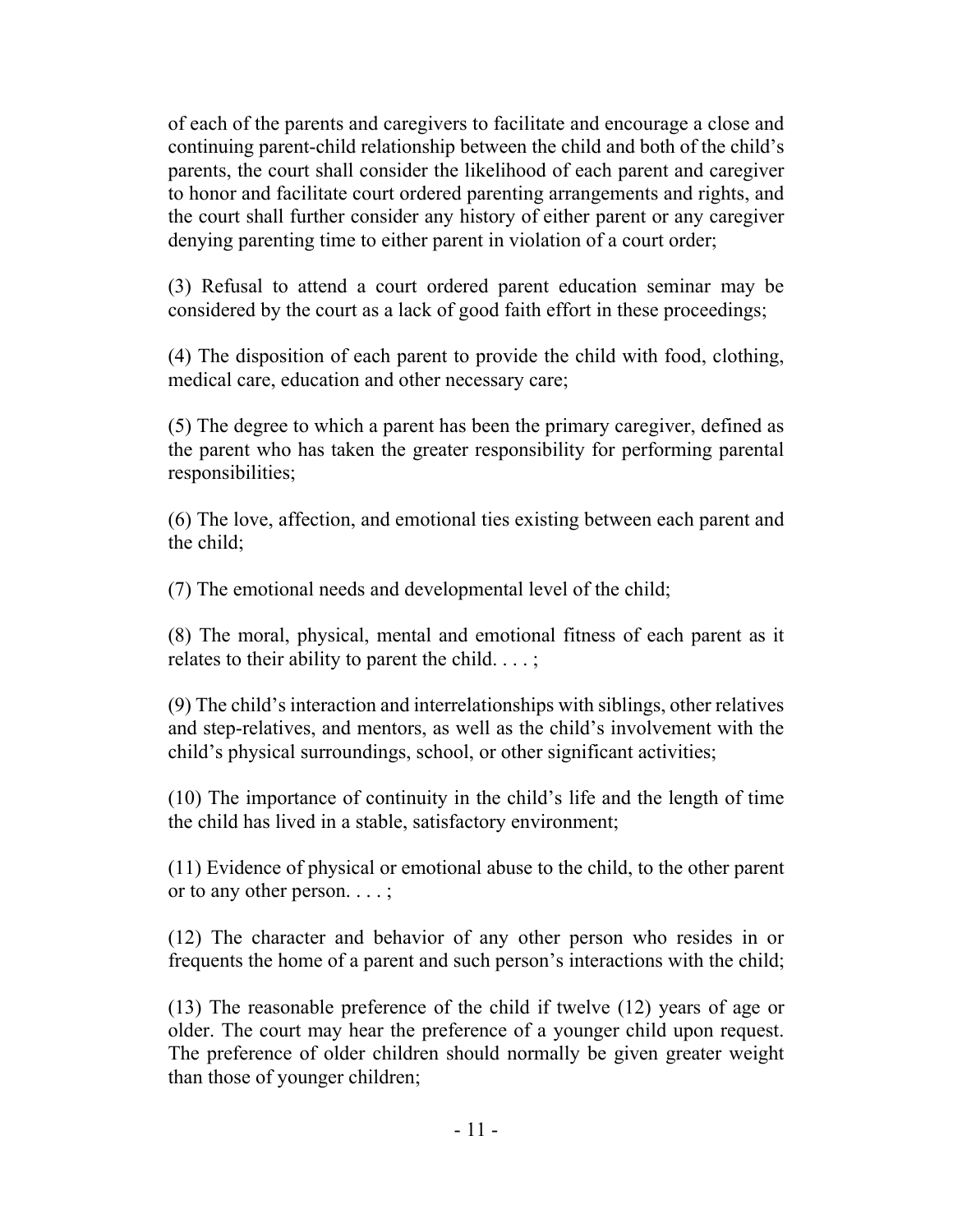of each of the parents and caregivers to facilitate and encourage a close and continuing parent-child relationship between the child and both of the child's parents, the court shall consider the likelihood of each parent and caregiver to honor and facilitate court ordered parenting arrangements and rights, and the court shall further consider any history of either parent or any caregiver denying parenting time to either parent in violation of a court order;

(3) Refusal to attend a court ordered parent education seminar may be considered by the court as a lack of good faith effort in these proceedings;

(4) The disposition of each parent to provide the child with food, clothing, medical care, education and other necessary care;

(5) The degree to which a parent has been the primary caregiver, defined as the parent who has taken the greater responsibility for performing parental responsibilities;

(6) The love, affection, and emotional ties existing between each parent and the child;

(7) The emotional needs and developmental level of the child;

(8) The moral, physical, mental and emotional fitness of each parent as it relates to their ability to parent the child.  $\dots$ ;

(9) The child's interaction and interrelationships with siblings, other relatives and step-relatives, and mentors, as well as the child's involvement with the child's physical surroundings, school, or other significant activities;

(10) The importance of continuity in the child's life and the length of time the child has lived in a stable, satisfactory environment;

(11) Evidence of physical or emotional abuse to the child, to the other parent or to any other person. . . . ;

(12) The character and behavior of any other person who resides in or frequents the home of a parent and such person's interactions with the child;

(13) The reasonable preference of the child if twelve (12) years of age or older. The court may hear the preference of a younger child upon request. The preference of older children should normally be given greater weight than those of younger children;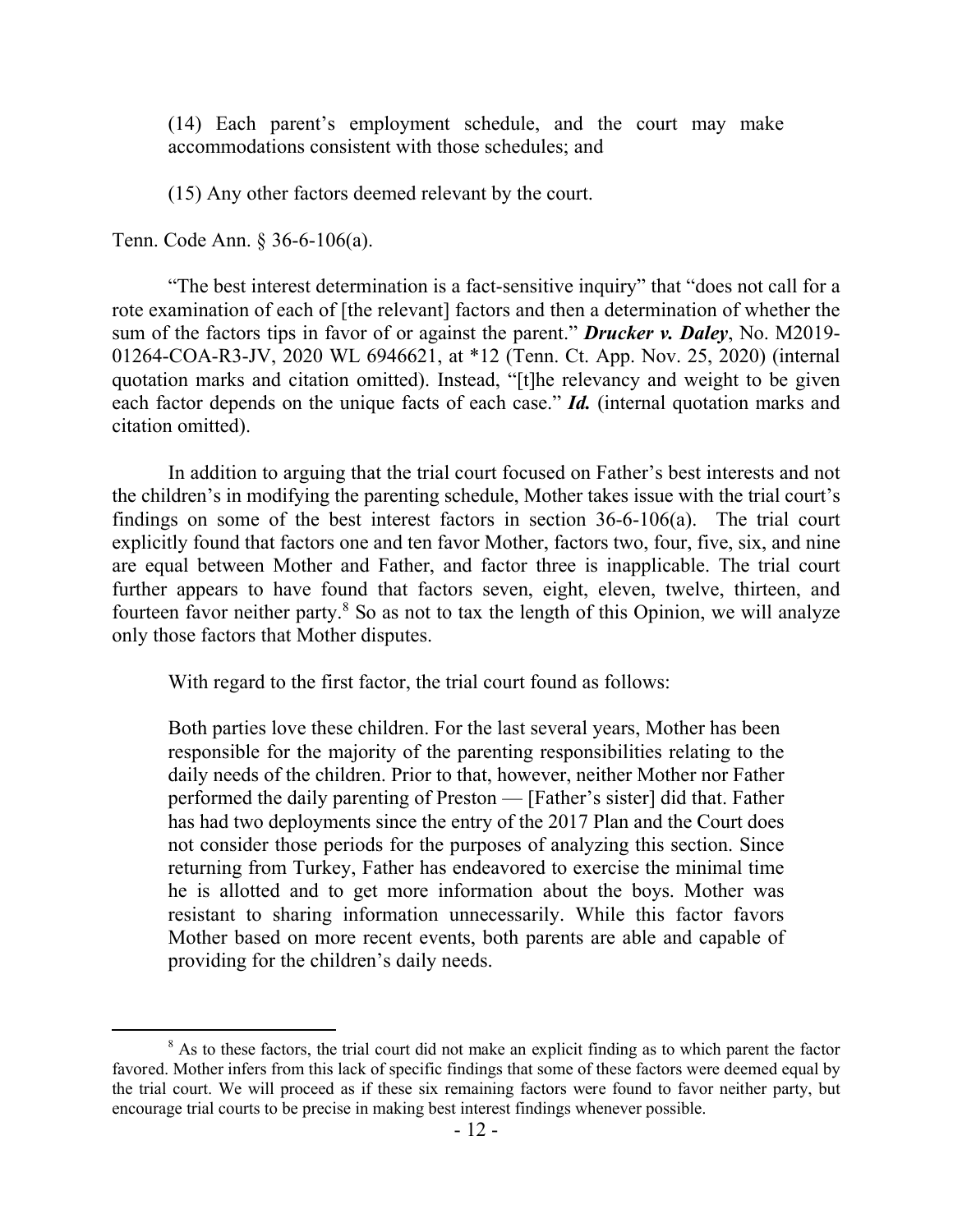(14) Each parent's employment schedule, and the court may make accommodations consistent with those schedules; and

(15) Any other factors deemed relevant by the court.

Tenn. Code Ann. § 36-6-106(a).

"The best interest determination is a fact-sensitive inquiry" that "does not call for a rote examination of each of [the relevant] factors and then a determination of whether the sum of the factors tips in favor of or against the parent." *Drucker v. Daley*, No. M2019- 01264-COA-R3-JV, 2020 WL 6946621, at \*12 (Tenn. Ct. App. Nov. 25, 2020) (internal quotation marks and citation omitted). Instead, "[t]he relevancy and weight to be given each factor depends on the unique facts of each case." *Id.* (internal quotation marks and citation omitted).

In addition to arguing that the trial court focused on Father's best interests and not the children's in modifying the parenting schedule, Mother takes issue with the trial court's findings on some of the best interest factors in section 36-6-106(a). The trial court explicitly found that factors one and ten favor Mother, factors two, four, five, six, and nine are equal between Mother and Father, and factor three is inapplicable. The trial court further appears to have found that factors seven, eight, eleven, twelve, thirteen, and fourteen favor neither party.<sup>8</sup> So as not to tax the length of this Opinion, we will analyze only those factors that Mother disputes.

With regard to the first factor, the trial court found as follows:

Both parties love these children. For the last several years, Mother has been responsible for the majority of the parenting responsibilities relating to the daily needs of the children. Prior to that, however, neither Mother nor Father performed the daily parenting of Preston — [Father's sister] did that. Father has had two deployments since the entry of the 2017 Plan and the Court does not consider those periods for the purposes of analyzing this section. Since returning from Turkey, Father has endeavored to exercise the minimal time he is allotted and to get more information about the boys. Mother was resistant to sharing information unnecessarily. While this factor favors Mother based on more recent events, both parents are able and capable of providing for the children's daily needs.

<sup>&</sup>lt;sup>8</sup> As to these factors, the trial court did not make an explicit finding as to which parent the factor favored. Mother infers from this lack of specific findings that some of these factors were deemed equal by the trial court. We will proceed as if these six remaining factors were found to favor neither party, but encourage trial courts to be precise in making best interest findings whenever possible.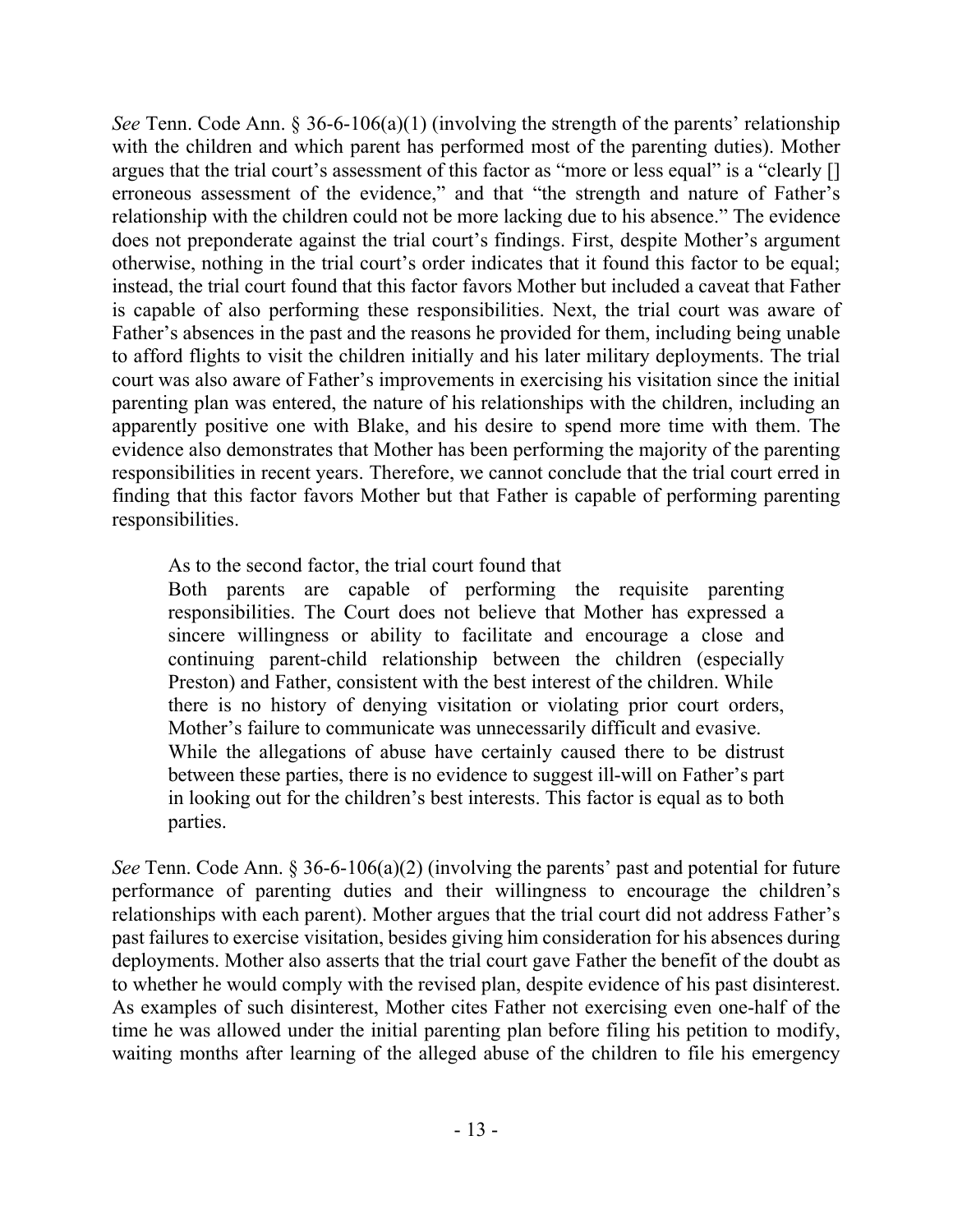*See* Tenn. Code Ann. § 36-6-106(a)(1) (involving the strength of the parents' relationship with the children and which parent has performed most of the parenting duties). Mother argues that the trial court's assessment of this factor as "more or less equal" is a "clearly [] erroneous assessment of the evidence," and that "the strength and nature of Father's relationship with the children could not be more lacking due to his absence." The evidence does not preponderate against the trial court's findings. First, despite Mother's argument otherwise, nothing in the trial court's order indicates that it found this factor to be equal; instead, the trial court found that this factor favors Mother but included a caveat that Father is capable of also performing these responsibilities. Next, the trial court was aware of Father's absences in the past and the reasons he provided for them, including being unable to afford flights to visit the children initially and his later military deployments. The trial court was also aware of Father's improvements in exercising his visitation since the initial parenting plan was entered, the nature of his relationships with the children, including an apparently positive one with Blake, and his desire to spend more time with them. The evidence also demonstrates that Mother has been performing the majority of the parenting responsibilities in recent years. Therefore, we cannot conclude that the trial court erred in finding that this factor favors Mother but that Father is capable of performing parenting responsibilities.

As to the second factor, the trial court found that

Both parents are capable of performing the requisite parenting responsibilities. The Court does not believe that Mother has expressed a sincere willingness or ability to facilitate and encourage a close and continuing parent-child relationship between the children (especially Preston) and Father, consistent with the best interest of the children. While there is no history of denying visitation or violating prior court orders, Mother's failure to communicate was unnecessarily difficult and evasive. While the allegations of abuse have certainly caused there to be distrust between these parties, there is no evidence to suggest ill-will on Father's part in looking out for the children's best interests. This factor is equal as to both parties.

*See* Tenn. Code Ann. § 36-6-106(a)(2) (involving the parents' past and potential for future performance of parenting duties and their willingness to encourage the children's relationships with each parent). Mother argues that the trial court did not address Father's past failures to exercise visitation, besides giving him consideration for his absences during deployments. Mother also asserts that the trial court gave Father the benefit of the doubt as to whether he would comply with the revised plan, despite evidence of his past disinterest. As examples of such disinterest, Mother cites Father not exercising even one-half of the time he was allowed under the initial parenting plan before filing his petition to modify, waiting months after learning of the alleged abuse of the children to file his emergency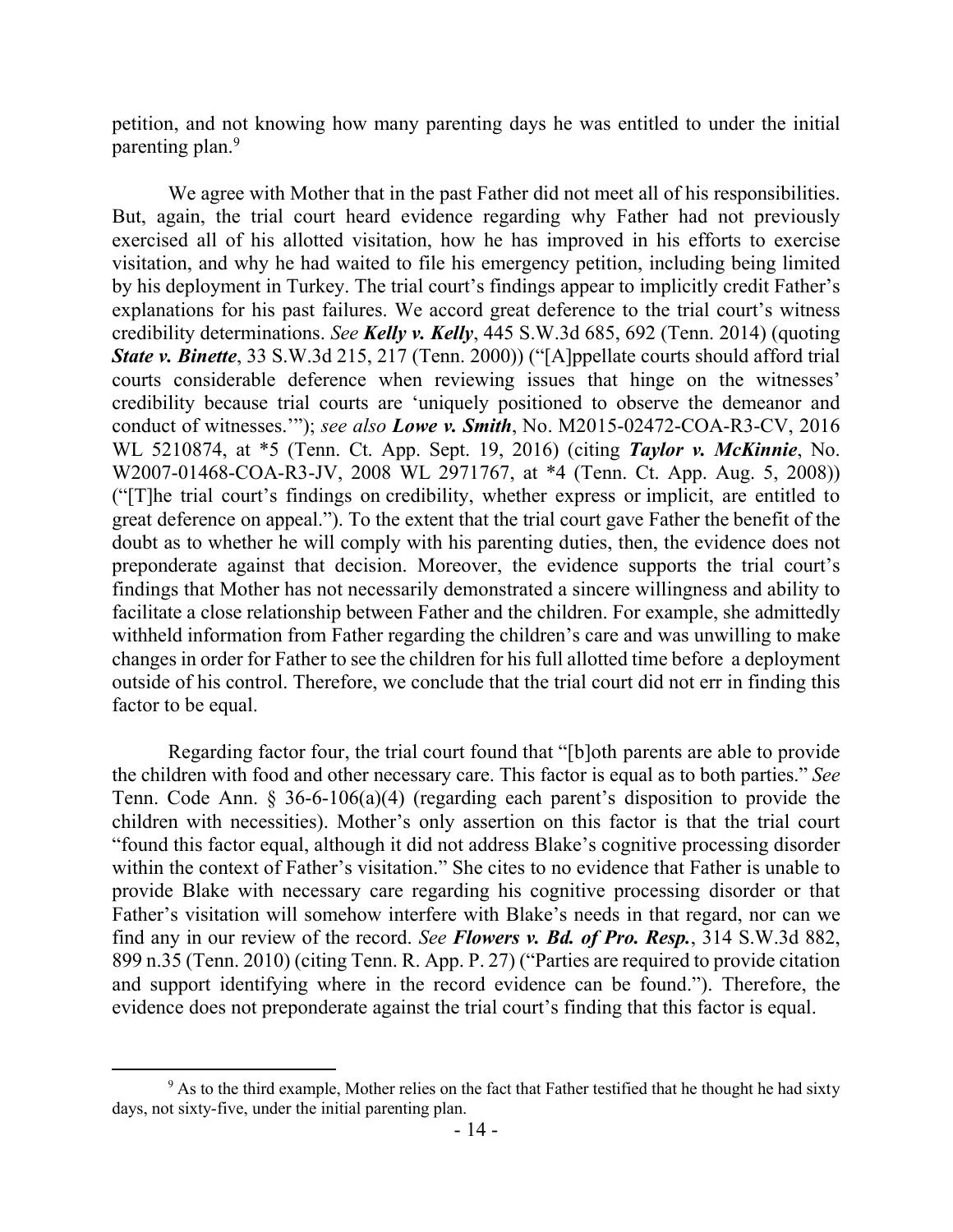petition, and not knowing how many parenting days he was entitled to under the initial parenting plan.<sup>9</sup>

We agree with Mother that in the past Father did not meet all of his responsibilities. But, again, the trial court heard evidence regarding why Father had not previously exercised all of his allotted visitation, how he has improved in his efforts to exercise visitation, and why he had waited to file his emergency petition, including being limited by his deployment in Turkey. The trial court's findings appear to implicitly credit Father's explanations for his past failures. We accord great deference to the trial court's witness credibility determinations. *See Kelly v. Kelly*, 445 S.W.3d 685, 692 (Tenn. 2014) (quoting *State v. Binette*, 33 S.W.3d 215, 217 (Tenn. 2000)) ("[A]ppellate courts should afford trial courts considerable deference when reviewing issues that hinge on the witnesses' credibility because trial courts are 'uniquely positioned to observe the demeanor and conduct of witnesses.'"); *see also Lowe v. Smith*, No. M2015-02472-COA-R3-CV, 2016 WL 5210874, at \*5 (Tenn. Ct. App. Sept. 19, 2016) (citing *Taylor v. McKinnie*, No. W2007-01468-COA-R3-JV, 2008 WL 2971767, at \*4 (Tenn. Ct. App. Aug. 5, 2008)) ("[T]he trial court's findings on credibility, whether express or implicit, are entitled to great deference on appeal."). To the extent that the trial court gave Father the benefit of the doubt as to whether he will comply with his parenting duties, then, the evidence does not preponderate against that decision. Moreover, the evidence supports the trial court's findings that Mother has not necessarily demonstrated a sincere willingness and ability to facilitate a close relationship between Father and the children. For example, she admittedly withheld information from Father regarding the children's care and was unwilling to make changes in order for Father to see the children for his full allotted time before a deployment outside of his control. Therefore, we conclude that the trial court did not err in finding this factor to be equal.

Regarding factor four, the trial court found that "[b]oth parents are able to provide the children with food and other necessary care. This factor is equal as to both parties." *See* Tenn. Code Ann. § 36-6-106(a)(4) (regarding each parent's disposition to provide the children with necessities). Mother's only assertion on this factor is that the trial court "found this factor equal, although it did not address Blake's cognitive processing disorder within the context of Father's visitation." She cites to no evidence that Father is unable to provide Blake with necessary care regarding his cognitive processing disorder or that Father's visitation will somehow interfere with Blake's needs in that regard, nor can we find any in our review of the record. *See Flowers v. Bd. of Pro. Resp.*, 314 S.W.3d 882, 899 n.35 (Tenn. 2010) (citing Tenn. R. App. P. 27) ("Parties are required to provide citation and support identifying where in the record evidence can be found."). Therefore, the evidence does not preponderate against the trial court's finding that this factor is equal.

 $9<sup>9</sup>$  As to the third example, Mother relies on the fact that Father testified that he thought he had sixty days, not sixty-five, under the initial parenting plan.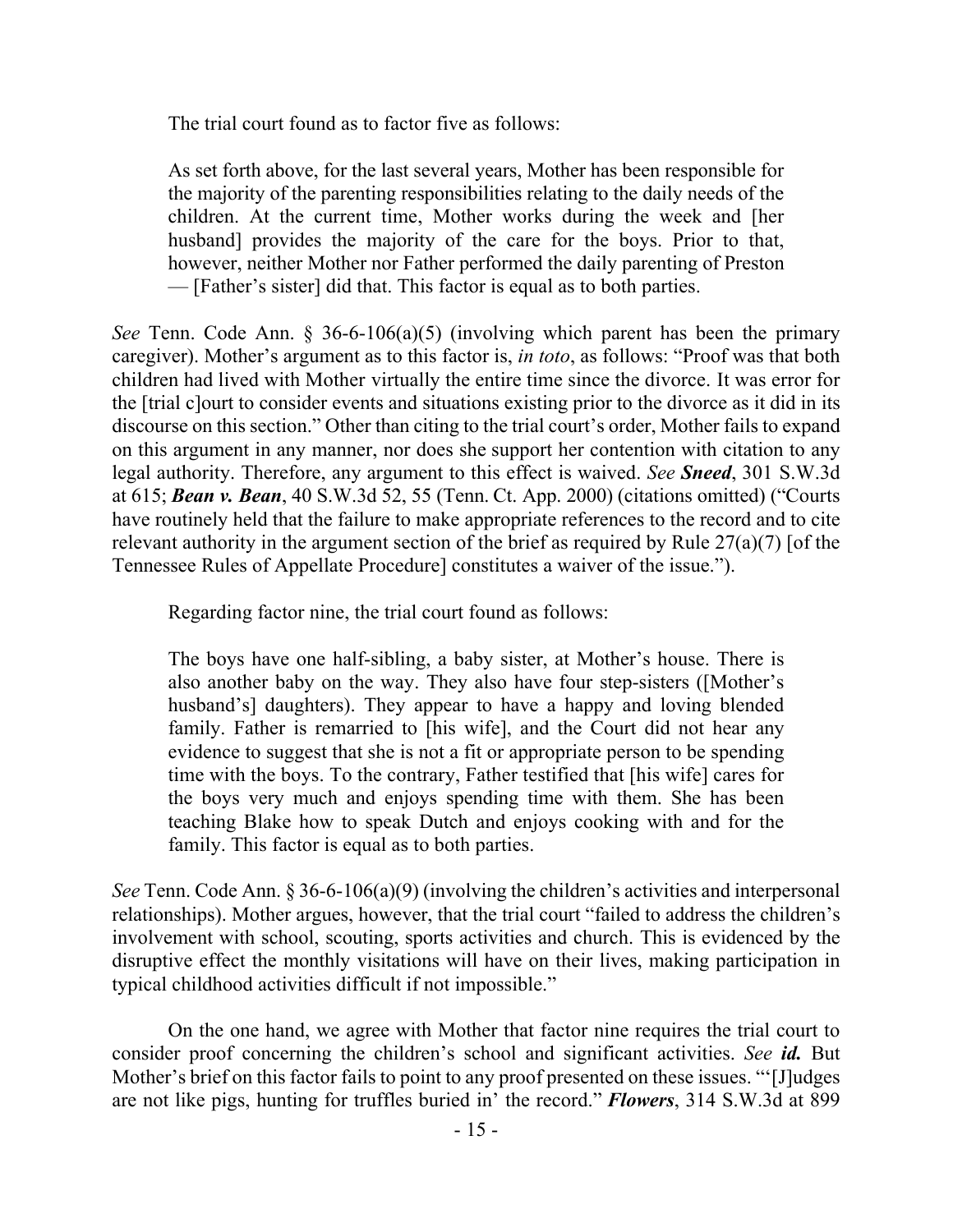The trial court found as to factor five as follows:

As set forth above, for the last several years, Mother has been responsible for the majority of the parenting responsibilities relating to the daily needs of the children. At the current time, Mother works during the week and [her husband] provides the majority of the care for the boys. Prior to that, however, neither Mother nor Father performed the daily parenting of Preston — [Father's sister] did that. This factor is equal as to both parties.

*See* Tenn. Code Ann. § 36-6-106(a)(5) (involving which parent has been the primary caregiver). Mother's argument as to this factor is, *in toto*, as follows: "Proof was that both children had lived with Mother virtually the entire time since the divorce. It was error for the [trial c]ourt to consider events and situations existing prior to the divorce as it did in its discourse on this section." Other than citing to the trial court's order, Mother fails to expand on this argument in any manner, nor does she support her contention with citation to any legal authority. Therefore, any argument to this effect is waived. *See Sneed*, 301 S.W.3d at 615; *Bean v. Bean*, 40 S.W.3d 52, 55 (Tenn. Ct. App. 2000) (citations omitted) ("Courts have routinely held that the failure to make appropriate references to the record and to cite relevant authority in the argument section of the brief as required by Rule 27(a)(7) [of the Tennessee Rules of Appellate Procedure] constitutes a waiver of the issue.").

Regarding factor nine, the trial court found as follows:

The boys have one half-sibling, a baby sister, at Mother's house. There is also another baby on the way. They also have four step-sisters ([Mother's husband's] daughters). They appear to have a happy and loving blended family. Father is remarried to [his wife], and the Court did not hear any evidence to suggest that she is not a fit or appropriate person to be spending time with the boys. To the contrary, Father testified that [his wife] cares for the boys very much and enjoys spending time with them. She has been teaching Blake how to speak Dutch and enjoys cooking with and for the family. This factor is equal as to both parties.

*See* Tenn. Code Ann. § 36-6-106(a)(9) (involving the children's activities and interpersonal relationships). Mother argues, however, that the trial court "failed to address the children's involvement with school, scouting, sports activities and church. This is evidenced by the disruptive effect the monthly visitations will have on their lives, making participation in typical childhood activities difficult if not impossible."

On the one hand, we agree with Mother that factor nine requires the trial court to consider proof concerning the children's school and significant activities. *See id.* But Mother's brief on this factor fails to point to any proof presented on these issues. "'[J]udges are not like pigs, hunting for truffles buried in' the record." *Flowers*, 314 S.W.3d at 899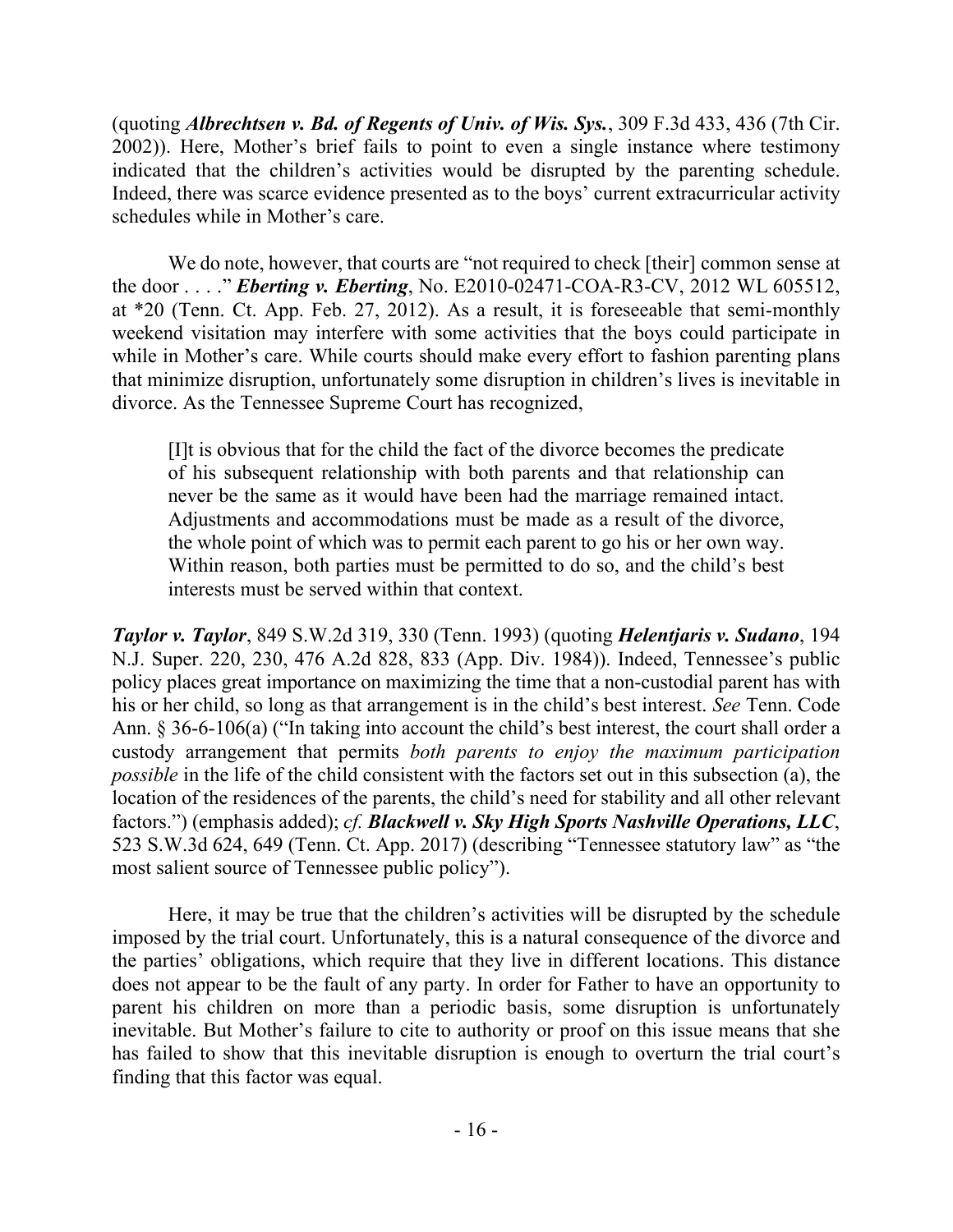(quoting *Albrechtsen v. Bd. of Regents of Univ. of Wis. Sys.*, 309 F.3d 433, 436 (7th Cir. 2002)). Here, Mother's brief fails to point to even a single instance where testimony indicated that the children's activities would be disrupted by the parenting schedule. Indeed, there was scarce evidence presented as to the boys' current extracurricular activity schedules while in Mother's care.

We do note, however, that courts are "not required to check [their] common sense at the door . . . ." *Eberting v. Eberting*, No. E2010-02471-COA-R3-CV, 2012 WL 605512, at \*20 (Tenn. Ct. App. Feb. 27, 2012). As a result, it is foreseeable that semi-monthly weekend visitation may interfere with some activities that the boys could participate in while in Mother's care. While courts should make every effort to fashion parenting plans that minimize disruption, unfortunately some disruption in children's lives is inevitable in divorce. As the Tennessee Supreme Court has recognized,

[I]t is obvious that for the child the fact of the divorce becomes the predicate of his subsequent relationship with both parents and that relationship can never be the same as it would have been had the marriage remained intact. Adjustments and accommodations must be made as a result of the divorce, the whole point of which was to permit each parent to go his or her own way. Within reason, both parties must be permitted to do so, and the child's best interests must be served within that context.

*Taylor v. Taylor*, 849 S.W.2d 319, 330 (Tenn. 1993) (quoting *Helentjaris v. Sudano*, 194 N.J. Super. 220, 230, 476 A.2d 828, 833 (App. Div. 1984)). Indeed, Tennessee's public policy places great importance on maximizing the time that a non-custodial parent has with his or her child, so long as that arrangement is in the child's best interest. *See* Tenn. Code Ann. § 36-6-106(a) ("In taking into account the child's best interest, the court shall order a custody arrangement that permits *both parents to enjoy the maximum participation possible* in the life of the child consistent with the factors set out in this subsection (a), the location of the residences of the parents, the child's need for stability and all other relevant factors.") (emphasis added); *cf. Blackwell v. Sky High Sports Nashville Operations, LLC*, 523 S.W.3d 624, 649 (Tenn. Ct. App. 2017) (describing "Tennessee statutory law" as "the most salient source of Tennessee public policy").

Here, it may be true that the children's activities will be disrupted by the schedule imposed by the trial court. Unfortunately, this is a natural consequence of the divorce and the parties' obligations, which require that they live in different locations. This distance does not appear to be the fault of any party. In order for Father to have an opportunity to parent his children on more than a periodic basis, some disruption is unfortunately inevitable. But Mother's failure to cite to authority or proof on this issue means that she has failed to show that this inevitable disruption is enough to overturn the trial court's finding that this factor was equal.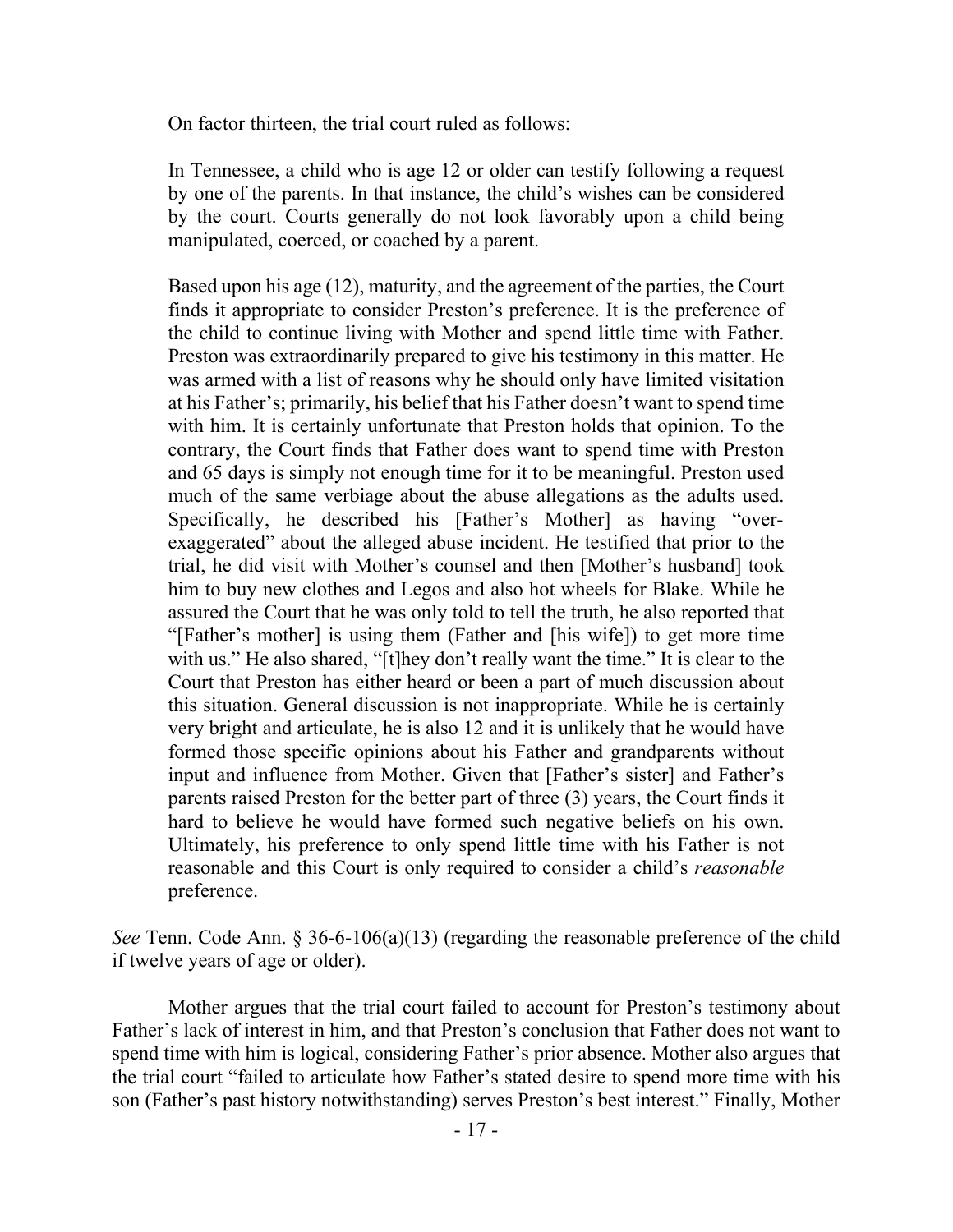On factor thirteen, the trial court ruled as follows:

In Tennessee, a child who is age 12 or older can testify following a request by one of the parents. In that instance, the child's wishes can be considered by the court. Courts generally do not look favorably upon a child being manipulated, coerced, or coached by a parent.

Based upon his age (12), maturity, and the agreement of the parties, the Court finds it appropriate to consider Preston's preference. It is the preference of the child to continue living with Mother and spend little time with Father. Preston was extraordinarily prepared to give his testimony in this matter. He was armed with a list of reasons why he should only have limited visitation at his Father's; primarily, his belief that his Father doesn't want to spend time with him. It is certainly unfortunate that Preston holds that opinion. To the contrary, the Court finds that Father does want to spend time with Preston and 65 days is simply not enough time for it to be meaningful. Preston used much of the same verbiage about the abuse allegations as the adults used. Specifically, he described his [Father's Mother] as having "overexaggerated" about the alleged abuse incident. He testified that prior to the trial, he did visit with Mother's counsel and then [Mother's husband] took him to buy new clothes and Legos and also hot wheels for Blake. While he assured the Court that he was only told to tell the truth, he also reported that "[Father's mother] is using them (Father and [his wife]) to get more time with us." He also shared, "[t]hey don't really want the time." It is clear to the Court that Preston has either heard or been a part of much discussion about this situation. General discussion is not inappropriate. While he is certainly very bright and articulate, he is also 12 and it is unlikely that he would have formed those specific opinions about his Father and grandparents without input and influence from Mother. Given that [Father's sister] and Father's parents raised Preston for the better part of three (3) years, the Court finds it hard to believe he would have formed such negative beliefs on his own. Ultimately, his preference to only spend little time with his Father is not reasonable and this Court is only required to consider a child's *reasonable* preference.

*See* Tenn. Code Ann. § 36-6-106(a)(13) (regarding the reasonable preference of the child if twelve years of age or older).

Mother argues that the trial court failed to account for Preston's testimony about Father's lack of interest in him, and that Preston's conclusion that Father does not want to spend time with him is logical, considering Father's prior absence. Mother also argues that the trial court "failed to articulate how Father's stated desire to spend more time with his son (Father's past history notwithstanding) serves Preston's best interest." Finally, Mother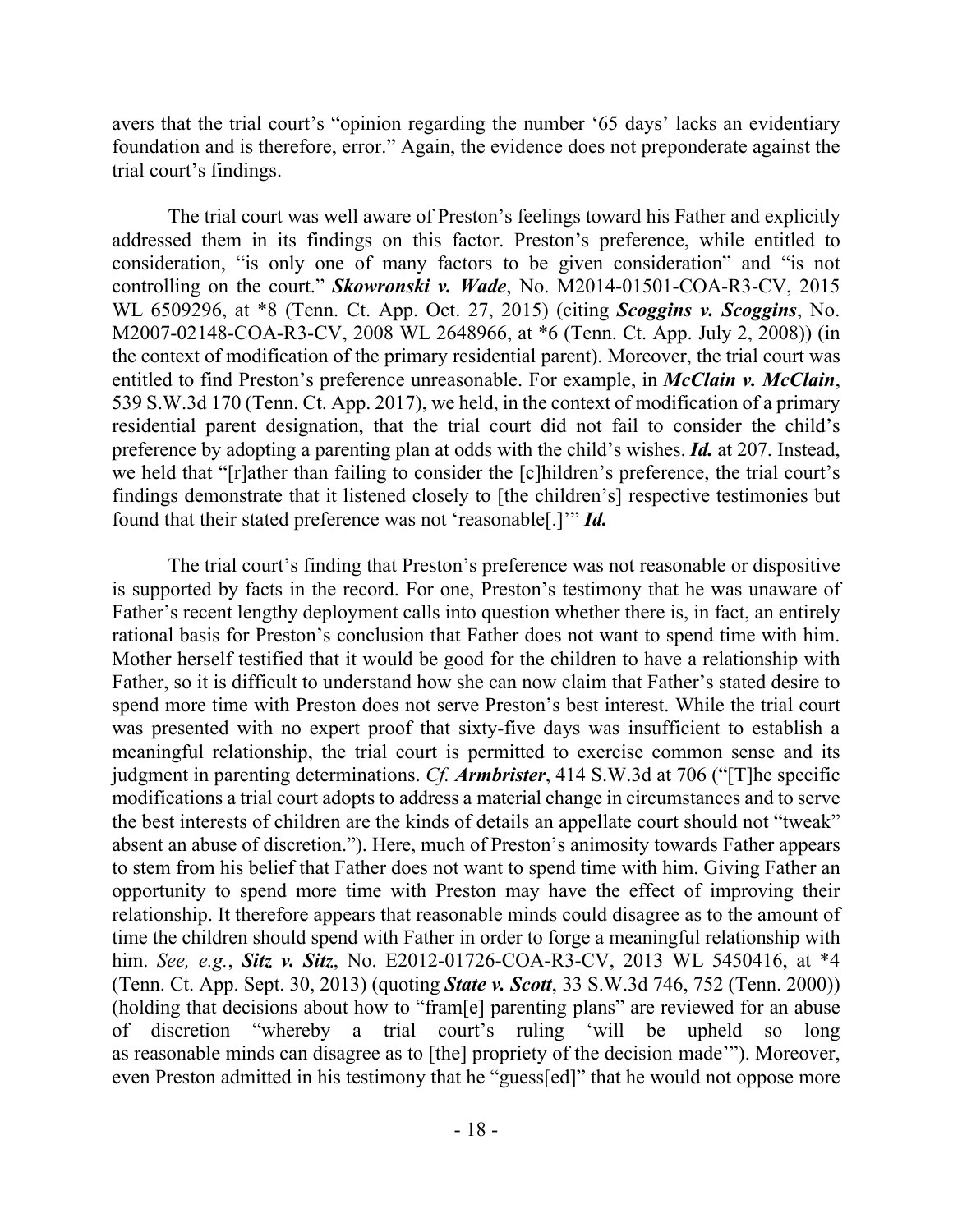avers that the trial court's "opinion regarding the number '65 days' lacks an evidentiary foundation and is therefore, error." Again, the evidence does not preponderate against the trial court's findings.

The trial court was well aware of Preston's feelings toward his Father and explicitly addressed them in its findings on this factor. Preston's preference, while entitled to consideration, "is only one of many factors to be given consideration" and "is not controlling on the court." *Skowronski v. Wade*, No. M2014-01501-COA-R3-CV, 2015 WL 6509296, at \*8 (Tenn. Ct. App. Oct. 27, 2015) (citing *Scoggins v. Scoggins*, No. M2007-02148-COA-R3-CV, 2008 WL 2648966, at \*6 (Tenn. Ct. App. July 2, 2008)) (in the context of modification of the primary residential parent). Moreover, the trial court was entitled to find Preston's preference unreasonable. For example, in *McClain v. McClain*, 539 S.W.3d 170 (Tenn. Ct. App. 2017), we held, in the context of modification of a primary residential parent designation, that the trial court did not fail to consider the child's preference by adopting a parenting plan at odds with the child's wishes. *Id.* at 207. Instead, we held that "[r]ather than failing to consider the [c]hildren's preference, the trial court's findings demonstrate that it listened closely to [the children's] respective testimonies but found that their stated preference was not 'reasonable[.]'" *Id.* 

The trial court's finding that Preston's preference was not reasonable or dispositive is supported by facts in the record. For one, Preston's testimony that he was unaware of Father's recent lengthy deployment calls into question whether there is, in fact, an entirely rational basis for Preston's conclusion that Father does not want to spend time with him. Mother herself testified that it would be good for the children to have a relationship with Father, so it is difficult to understand how she can now claim that Father's stated desire to spend more time with Preston does not serve Preston's best interest. While the trial court was presented with no expert proof that sixty-five days was insufficient to establish a meaningful relationship, the trial court is permitted to exercise common sense and its judgment in parenting determinations. *Cf. Armbrister*, 414 S.W.3d at 706 ("[T]he specific modifications a trial court adopts to address a material change in circumstances and to serve the best interests of children are the kinds of details an appellate court should not "tweak" absent an abuse of discretion."). Here, much of Preston's animosity towards Father appears to stem from his belief that Father does not want to spend time with him. Giving Father an opportunity to spend more time with Preston may have the effect of improving their relationship. It therefore appears that reasonable minds could disagree as to the amount of time the children should spend with Father in order to forge a meaningful relationship with him. *See, e.g.*, *Sitz v. Sitz*, No. E2012-01726-COA-R3-CV, 2013 WL 5450416, at \*4 (Tenn. Ct. App. Sept. 30, 2013) (quoting *State v. Scott*, 33 S.W.3d 746, 752 (Tenn. 2000)) (holding that decisions about how to "fram[e] parenting plans" are reviewed for an abuse of discretion "whereby a trial court's ruling 'will be upheld so long as reasonable minds can disagree as to [the] propriety of the decision made'"). Moreover, even Preston admitted in his testimony that he "guess[ed]" that he would not oppose more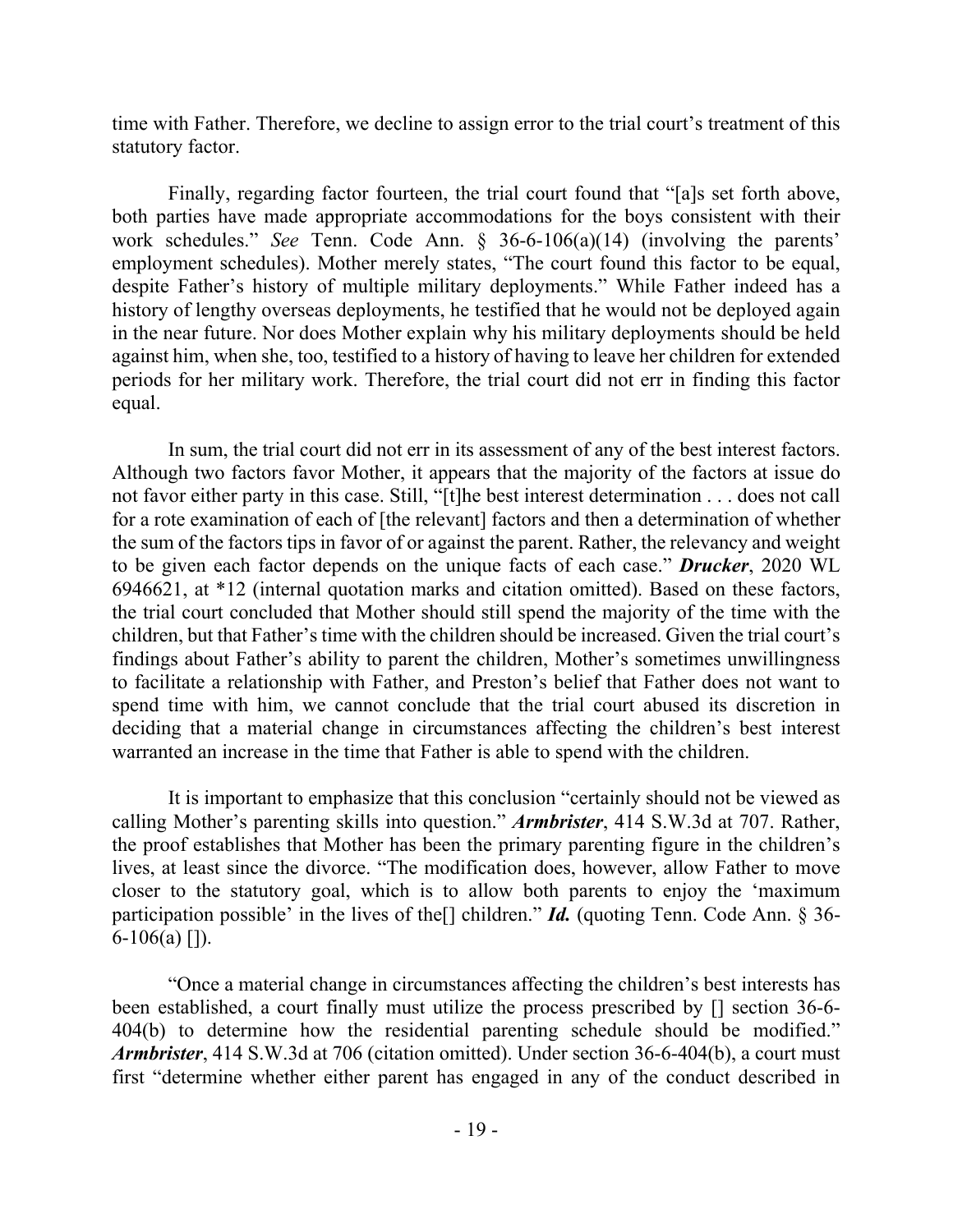time with Father. Therefore, we decline to assign error to the trial court's treatment of this statutory factor.

Finally, regarding factor fourteen, the trial court found that "[a]s set forth above, both parties have made appropriate accommodations for the boys consistent with their work schedules." *See* Tenn. Code Ann. § 36-6-106(a)(14) (involving the parents' employment schedules). Mother merely states, "The court found this factor to be equal, despite Father's history of multiple military deployments." While Father indeed has a history of lengthy overseas deployments, he testified that he would not be deployed again in the near future. Nor does Mother explain why his military deployments should be held against him, when she, too, testified to a history of having to leave her children for extended periods for her military work. Therefore, the trial court did not err in finding this factor equal.

In sum, the trial court did not err in its assessment of any of the best interest factors. Although two factors favor Mother, it appears that the majority of the factors at issue do not favor either party in this case. Still, "[t]he best interest determination . . . does not call for a rote examination of each of [the relevant] factors and then a determination of whether the sum of the factors tips in favor of or against the parent. Rather, the relevancy and weight to be given each factor depends on the unique facts of each case." *Drucker*, 2020 WL 6946621, at \*12 (internal quotation marks and citation omitted). Based on these factors, the trial court concluded that Mother should still spend the majority of the time with the children, but that Father's time with the children should be increased. Given the trial court's findings about Father's ability to parent the children, Mother's sometimes unwillingness to facilitate a relationship with Father, and Preston's belief that Father does not want to spend time with him, we cannot conclude that the trial court abused its discretion in deciding that a material change in circumstances affecting the children's best interest warranted an increase in the time that Father is able to spend with the children.

It is important to emphasize that this conclusion "certainly should not be viewed as calling Mother's parenting skills into question." *Armbrister*, 414 S.W.3d at 707. Rather, the proof establishes that Mother has been the primary parenting figure in the children's lives, at least since the divorce. "The modification does, however, allow Father to move closer to the statutory goal, which is to allow both parents to enjoy the 'maximum participation possible' in the lives of the[] children." *Id.* (quoting Tenn. Code Ann. § 36-  $6-106(a)$  []).

"Once a material change in circumstances affecting the children's best interests has been established, a court finally must utilize the process prescribed by [] section 36-6- 404(b) to determine how the residential parenting schedule should be modified." *Armbrister*, 414 S.W.3d at 706 (citation omitted). Under section 36-6-404(b), a court must first "determine whether either parent has engaged in any of the conduct described in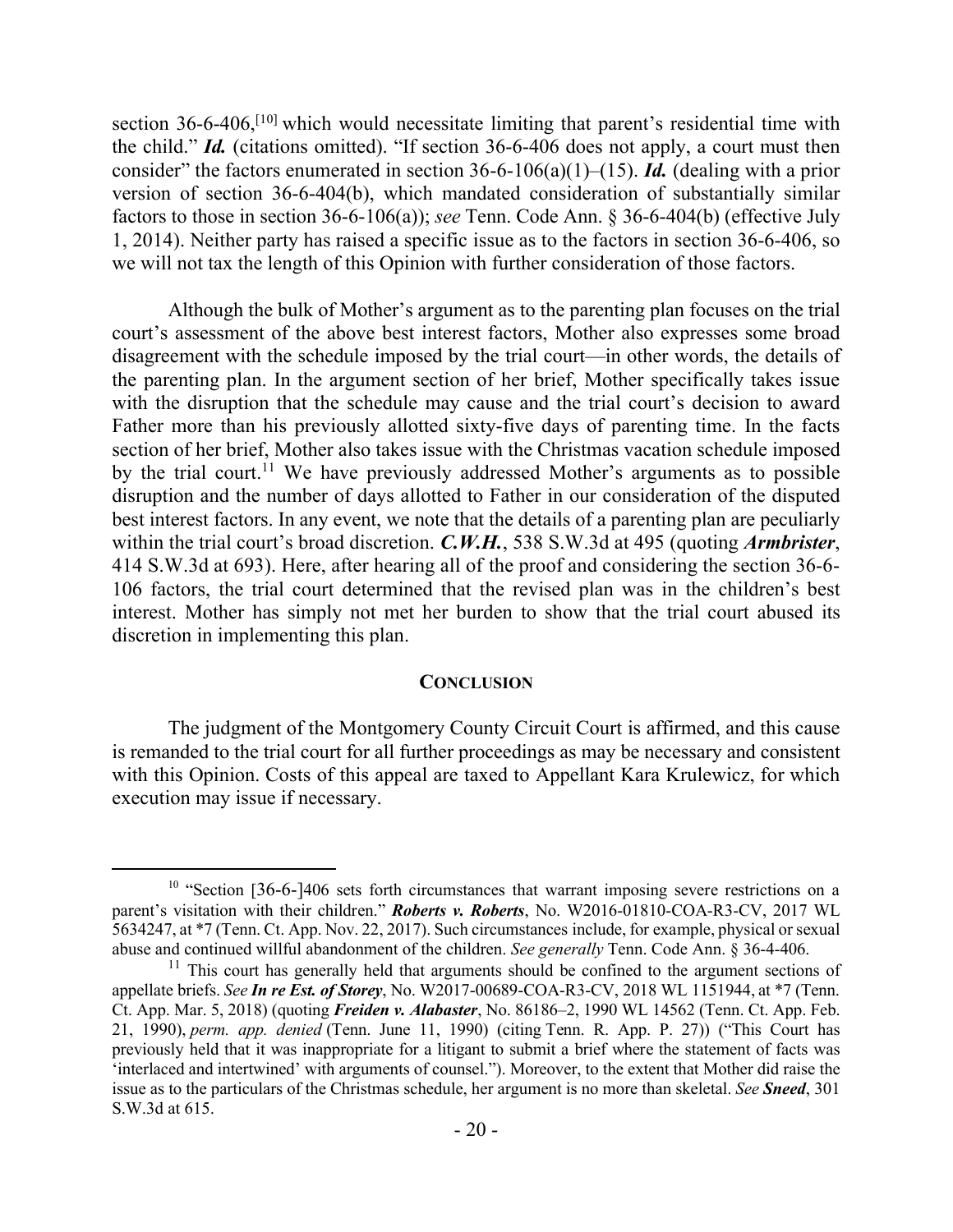section  $36-6-406$ ,  $[10]$  which would necessitate limiting that parent's residential time with the child." *Id.* (citations omitted). "If section 36-6-406 does not apply, a court must then consider" the factors enumerated in section 36-6-106(a)(1)–(15). *Id.* (dealing with a prior version of section 36-6-404(b), which mandated consideration of substantially similar factors to those in section 36-6-106(a)); *see* Tenn. Code Ann. § 36-6-404(b) (effective July 1, 2014). Neither party has raised a specific issue as to the factors in section 36-6-406, so we will not tax the length of this Opinion with further consideration of those factors.

Although the bulk of Mother's argument as to the parenting plan focuses on the trial court's assessment of the above best interest factors, Mother also expresses some broad disagreement with the schedule imposed by the trial court—in other words, the details of the parenting plan. In the argument section of her brief, Mother specifically takes issue with the disruption that the schedule may cause and the trial court's decision to award Father more than his previously allotted sixty-five days of parenting time. In the facts section of her brief, Mother also takes issue with the Christmas vacation schedule imposed by the trial court.<sup>11</sup> We have previously addressed Mother's arguments as to possible disruption and the number of days allotted to Father in our consideration of the disputed best interest factors. In any event, we note that the details of a parenting plan are peculiarly within the trial court's broad discretion. *C.W.H.*, 538 S.W.3d at 495 (quoting *Armbrister*, 414 S.W.3d at 693). Here, after hearing all of the proof and considering the section 36-6- 106 factors, the trial court determined that the revised plan was in the children's best interest. Mother has simply not met her burden to show that the trial court abused its discretion in implementing this plan.

#### **CONCLUSION**

The judgment of the Montgomery County Circuit Court is affirmed, and this cause is remanded to the trial court for all further proceedings as may be necessary and consistent with this Opinion. Costs of this appeal are taxed to Appellant Kara Krulewicz, for which execution may issue if necessary.

 $\overline{a}$ 

<sup>&</sup>lt;sup>10</sup> "Section [36-6-]406 sets forth circumstances that warrant imposing severe restrictions on a parent's visitation with their children." *Roberts v. Roberts*, No. W2016-01810-COA-R3-CV, 2017 WL 5634247, at \*7 (Tenn. Ct. App. Nov. 22, 2017). Such circumstances include, for example, physical or sexual abuse and continued willful abandonment of the children. *See generally* Tenn. Code Ann. § 36-4-406.

 $11$  This court has generally held that arguments should be confined to the argument sections of appellate briefs. *See In re Est. of Storey*, No. W2017-00689-COA-R3-CV, 2018 WL 1151944, at \*7 (Tenn. Ct. App. Mar. 5, 2018) (quoting *Freiden v. Alabaster*, No. 86186–2, 1990 WL 14562 (Tenn. Ct. App. Feb. 21, 1990), *perm. app. denied* (Tenn. June 11, 1990) (citing Tenn. R. App. P. 27)) ("This Court has previously held that it was inappropriate for a litigant to submit a brief where the statement of facts was 'interlaced and intertwined' with arguments of counsel."). Moreover, to the extent that Mother did raise the issue as to the particulars of the Christmas schedule, her argument is no more than skeletal. *See Sneed*, 301 S.W.3d at 615.